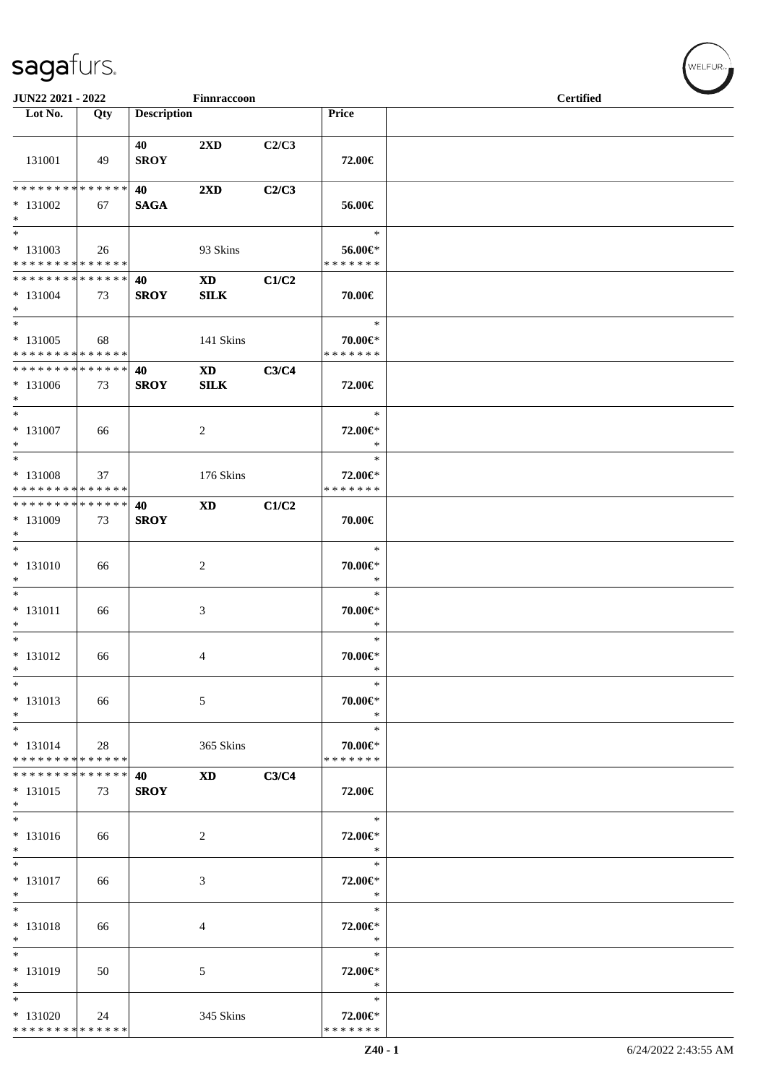| JUN22 2021 - 2022<br>Finnraccoon                                               |     |                    |                             |       | <b>Certified</b>                   |  |
|--------------------------------------------------------------------------------|-----|--------------------|-----------------------------|-------|------------------------------------|--|
| Lot No.                                                                        | Qty | <b>Description</b> |                             |       | Price                              |  |
| 131001                                                                         | 49  | 40<br><b>SROY</b>  | 2XD                         | C2/C3 | 72.00€                             |  |
| * * * * * * * * * * * * * *                                                    |     | 40                 | $2\mathbf{X}\mathbf{D}$     | C2/C3 |                                    |  |
| $* 131002$<br>$*$<br>$*$                                                       | 67  | <b>SAGA</b>        |                             |       | 56.00€<br>$\ast$                   |  |
| * 131003<br>* * * * * * * * * * * * * *                                        | 26  |                    | 93 Skins                    |       | 56.00€*<br>* * * * * * *           |  |
| * * * * * * * * * * * * * * *<br>$* 131004$<br>$*$<br>$*$                      | 73  | 40<br><b>SROY</b>  | <b>XD</b><br>SLK            | C1/C2 | 70.00€<br>$\ast$                   |  |
| $* 131005$<br>* * * * * * * * * * * * * *                                      | 68  |                    | 141 Skins                   |       | 70.00€*<br>* * * * * * *           |  |
| ******** <mark>******</mark><br>$* 131006$<br>$*$                              | 73  | 40<br><b>SROY</b>  | <b>XD</b><br><b>SILK</b>    | C3/C4 | 72.00€                             |  |
| $*$<br>$* 131007$<br>$*$                                                       | 66  |                    | 2                           |       | $\ast$<br>72.00€*<br>∗             |  |
| $\overline{\phantom{0}}$<br>* 131008<br>* * * * * * * * * * * * * *            | 37  |                    | 176 Skins                   |       | $\ast$<br>72.00€*<br>* * * * * * * |  |
| * * * * * * * * * * * * * * *<br>* 131009<br>$*$                               | 73  | 40<br><b>SROY</b>  | <b>XD</b>                   | C1/C2 | 70.00€                             |  |
| $*$<br>$* 131010$<br>$*$                                                       | 66  |                    | 2                           |       | $\ast$<br>70.00€*<br>$\ast$        |  |
| $*$<br>$* 131011$<br>$*$<br>$*$                                                | 66  |                    | $\ensuremath{\mathfrak{Z}}$ |       | $\ast$<br>70.00€*<br>$\ast$        |  |
| * 131012<br>$\ast$                                                             | 66  |                    | 4                           |       | $\ast$<br>70.00€*<br>$\ast$        |  |
| $\ast$<br>* 131013<br>$*$                                                      | 66  |                    | 5                           |       | $\ast$<br>70.00€*<br>$\ast$        |  |
| $*$<br>$* 131014$<br>* * * * * * * * * * * * * *                               | 28  |                    | 365 Skins                   |       | $\ast$<br>70.00€*<br>* * * * * * * |  |
| * * * * * * * * * * * * * * *<br>$* 131015$<br>$*$<br>$\overline{\phantom{0}}$ | 73  | 40<br><b>SROY</b>  | <b>XD</b>                   | C3/C4 | 72.00€                             |  |
| $* 131016$<br>$*$                                                              | 66  |                    | 2                           |       | $\ast$<br>72.00€*<br>$\ast$        |  |
| $*$<br>$* 131017$<br>$*$                                                       | 66  |                    | 3                           |       | $\ast$<br>72.00€*<br>$\ast$        |  |
| $*$<br>$* 131018$<br>$*$                                                       | 66  |                    | 4                           |       | $\ast$<br>72.00€*<br>$\ast$        |  |
| $*$<br>* 131019<br>$\ast$                                                      | 50  |                    | 5                           |       | $\ast$<br>72.00€*<br>$\ast$        |  |
| $*$<br>* 131020<br>******** <mark>******</mark>                                | 24  |                    | 345 Skins                   |       | $\ast$<br>72.00€*<br>* * * * * * * |  |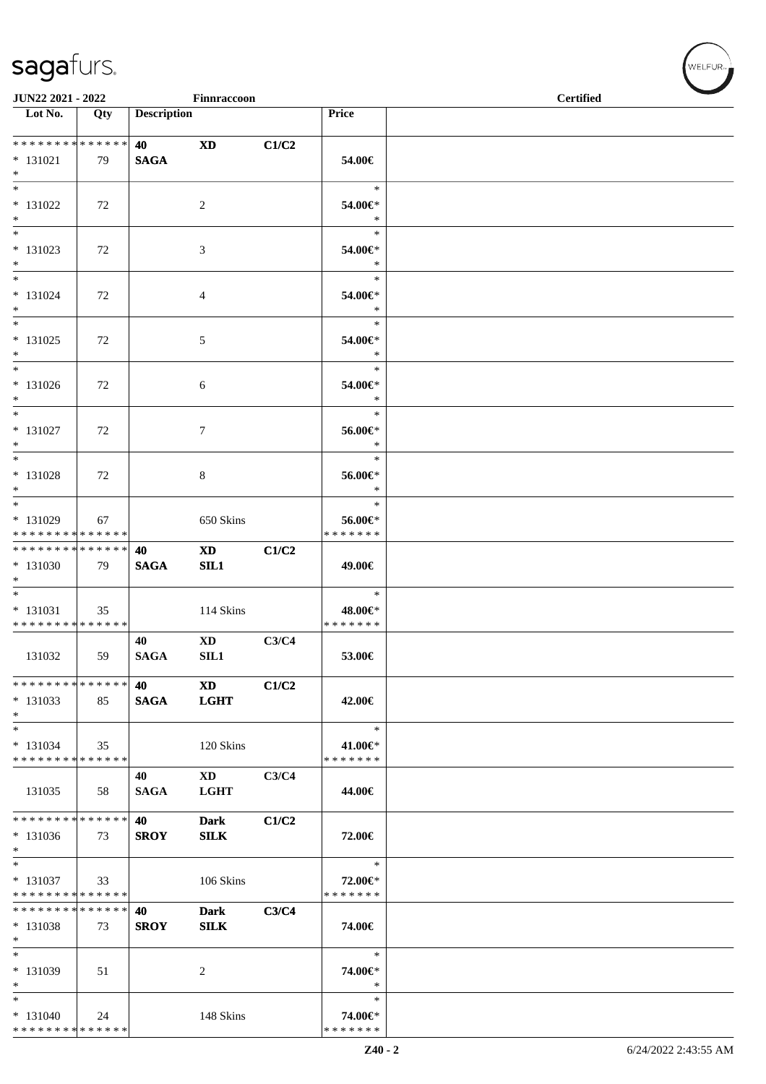|                                                                              | JUN22 2021 - 2022<br>Finnraccoon |                    |                                       |       |                                       | <b>Certified</b> |
|------------------------------------------------------------------------------|----------------------------------|--------------------|---------------------------------------|-------|---------------------------------------|------------------|
| $\overline{\phantom{1}}$ Lot No.                                             | Qty                              | <b>Description</b> |                                       |       | Price                                 |                  |
| **************<br>$* 131021$<br>$*$                                          | 79                               | 40<br><b>SAGA</b>  | <b>XD</b>                             | C1/C2 | 54.00€                                |                  |
| $\ast$<br>$* 131022$<br>$\ast$                                               | 72                               |                    | $\overline{2}$                        |       | $\ast$<br>54.00€*<br>$\ast$           |                  |
| $\overline{\phantom{0}}$<br>* 131023<br>$*$                                  | 72                               |                    | 3                                     |       | $\ast$<br>54.00€*<br>$\ast$           |                  |
| $*$<br>$* 131024$<br>$*$                                                     | 72                               |                    | 4                                     |       | $\ast$<br>54.00€*<br>$\ast$           |                  |
| $\ast$<br>$* 131025$<br>$*$                                                  | 72                               |                    | 5                                     |       | $\ast$<br>54.00€*<br>$\ast$           |                  |
| $*$<br>$* 131026$<br>$*$                                                     | 72                               |                    | 6                                     |       | $\ast$<br>54.00€*<br>$\ast$           |                  |
| $*$<br>$* 131027$<br>$*$<br>$*$                                              | 72                               |                    | $\tau$                                |       | $\ast$<br>56.00€*<br>$\ast$<br>$\ast$ |                  |
| $* 131028$<br>$\ast$                                                         | 72                               |                    | 8                                     |       | 56.00€*<br>$\ast$<br>$\ast$           |                  |
| * 131029<br>* * * * * * * * * * * * * *                                      | 67                               |                    | 650 Skins                             |       | 56.00€*<br>* * * * * * *              |                  |
| * * * * * * * * * * * * * * *<br>* 131030<br>$*$<br>$\overline{\phantom{0}}$ | 79                               | 40<br><b>SAGA</b>  | $\mathbf{X}\mathbf{D}$<br>SL1         | C1/C2 | 49.00€<br>$\ast$                      |                  |
| $* 131031$<br>* * * * * * * * * * * * * *                                    | 35                               |                    | 114 Skins                             |       | 48.00€*<br>* * * * * * *              |                  |
| 131032                                                                       | 59                               | 40<br><b>SAGA</b>  | $\mathbf{X}\mathbf{D}$<br>SL1         | C3/C4 | 53.00€                                |                  |
| * * * * * * * * * * * * * *<br>$*131033$<br>$*$                              | 85                               | 40<br><b>SAGA</b>  | $\mathbf{X}\mathbf{D}$<br><b>LGHT</b> | C1/C2 | 42.00€                                |                  |
| $\ast$<br>$* 131034$<br>* * * * * * * * * * * * * *                          | 35                               |                    | 120 Skins                             |       | $\ast$<br>41.00€*<br>* * * * * * *    |                  |
| 131035<br>* * * * * * * * * * * * * *                                        | 58                               | 40<br><b>SAGA</b>  | $\mathbf{X}\mathbf{D}$<br><b>LGHT</b> | C3/C4 | 44.00€                                |                  |
| * 131036<br>$*$<br>$\ast$                                                    | 73                               | 40<br><b>SROY</b>  | <b>Dark</b><br><b>SILK</b>            | C1/C2 | 72.00€                                |                  |
| * 131037<br>* * * * * * * * * * * * * *<br>* * * * * * * * * * * * * *       | 33                               |                    | 106 Skins                             |       | $\ast$<br>72.00€*<br>* * * * * * *    |                  |
| $*131038$<br>$\ast$<br>$\ast$                                                | 73                               | 40<br><b>SROY</b>  | <b>Dark</b><br><b>SILK</b>            | C3/C4 | 74.00€<br>$\ast$                      |                  |
| $* 131039$<br>$\ast$<br>$\ast$                                               | 51                               |                    | 2                                     |       | 74.00€*<br>$\ast$<br>$\ast$           |                  |
| $* 131040$<br>* * * * * * * * * * * * * *                                    | 24                               |                    | 148 Skins                             |       | 74.00€*<br>* * * * * * *              |                  |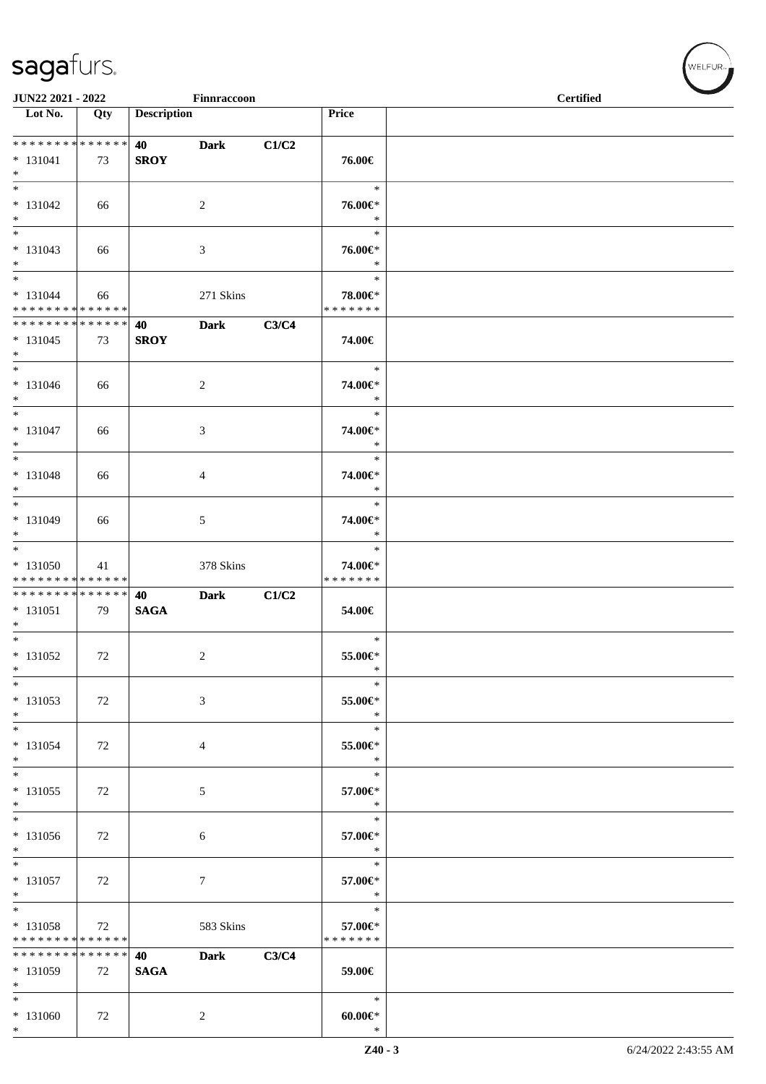| JUN22 2021 - 2022<br>Finnraccoon                                       |     |                    |                  |       |                                        | <b>Certified</b> |
|------------------------------------------------------------------------|-----|--------------------|------------------|-------|----------------------------------------|------------------|
| $\overline{\phantom{1}}$ Lot No.                                       | Qty | <b>Description</b> |                  |       | Price                                  |                  |
| **************<br>$* 131041$<br>$*$                                    | 73  | 40<br><b>SROY</b>  | <b>Dark</b>      | C1/C2 | 76.00€                                 |                  |
| $\ast$<br>$* 131042$<br>$*$                                            | 66  |                    | $\overline{c}$   |       | $\ast$<br>76.00€*<br>$\ast$            |                  |
| $\ast$<br>$* 131043$<br>$*$                                            | 66  |                    | 3                |       | $\ast$<br>76.00€*<br>$\ast$            |                  |
| $\overline{\phantom{0}}$<br>$* 131044$<br>******** <mark>******</mark> | 66  |                    | 271 Skins        |       | $\ast$<br>78.00€*<br>* * * * * * *     |                  |
| * * * * * * * * * * * * * * *<br>$* 131045$<br>$*$                     | 73  | 40<br><b>SROY</b>  | <b>Dark</b>      | C3/C4 | 74.00€                                 |                  |
| $\ast$<br>$* 131046$<br>$*$                                            | 66  |                    | $\sqrt{2}$       |       | $\ast$<br>74.00€*<br>$\ast$            |                  |
| $*$<br>$* 131047$<br>$*$                                               | 66  |                    | $\mathfrak{Z}$   |       | $\ast$<br>74.00€*<br>$\ast$            |                  |
| $*$<br>$* 131048$<br>$*$                                               | 66  |                    | 4                |       | $\ast$<br>74.00€*<br>$\ast$            |                  |
| $*$<br>$* 131049$<br>$*$                                               | 66  |                    | 5                |       | $\ast$<br>74.00€*<br>$\ast$            |                  |
| $*$<br>$* 131050$<br>* * * * * * * * * * * * * *                       | 41  |                    | 378 Skins        |       | $\ast$<br>74.00€*<br>* * * * * * *     |                  |
| ******** <mark>******</mark><br>$* 131051$<br>$*$                      | 79  | 40<br><b>SAGA</b>  | <b>Dark</b>      | C1/C2 | 54.00€                                 |                  |
| $*$<br>$* 131052$<br>$\ast$                                            | 72  |                    | $\overline{c}$   |       | $\ast$<br>55.00€*<br>$\ast$            |                  |
| $\ast$<br>$* 131053$<br>$*$                                            | 72  |                    | $\mathfrak{Z}$   |       | $\ast$<br>55.00€*<br>$\ast$            |                  |
| $\ast$<br>$* 131054$<br>$*$                                            | 72  |                    | $\overline{4}$   |       | $\ast$<br>55.00€*<br>$\ast$            |                  |
| $\ast$<br>$* 131055$<br>$\ast$                                         | 72  |                    | $\mathfrak{S}$   |       | $\ast$<br>57.00€*<br>$\ast$            |                  |
| $*$<br>* 131056<br>$\ast$                                              | 72  |                    | 6                |       | $\ast$<br>57.00€*<br>$\ast$            |                  |
| $*$<br>$* 131057$<br>$*$<br>$\overline{\ast}$                          | 72  |                    | $\boldsymbol{7}$ |       | $\ast$<br>57.00€*<br>$\ast$            |                  |
| * 131058<br>* * * * * * * * * * * * * *                                | 72  |                    | 583 Skins        |       | $\ast$<br>57.00€*<br>* * * * * * *     |                  |
| * * * * * * * * * * * * * *<br>* 131059<br>$\ast$                      | 72  | 40<br><b>SAGA</b>  | <b>Dark</b>      | C3/C4 | 59.00€                                 |                  |
| $\ast$<br>$* 131060$<br>$\ast$                                         | 72  |                    | $\overline{c}$   |       | $\ast$<br>$60.00 \text{E}^*$<br>$\ast$ |                  |

 $(w$ ELFUR<sub><sup>n</sub></sub></sub></sup>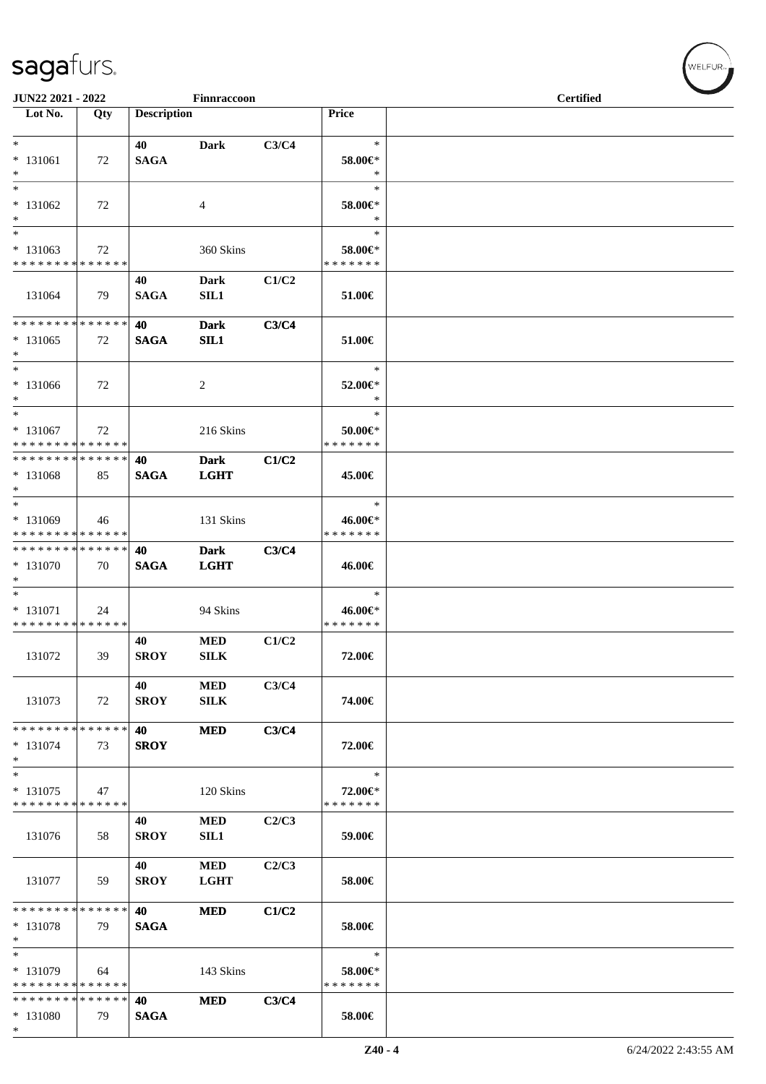| JUN22 2021 - 2022<br>Finnraccoon                  |     |                    |                            |       |                                    | <b>Certified</b> |  |  |
|---------------------------------------------------|-----|--------------------|----------------------------|-------|------------------------------------|------------------|--|--|
| Lot No.                                           | Qty | <b>Description</b> |                            |       | Price                              |                  |  |  |
| $*$                                               |     | 40                 | <b>Dark</b>                | C3/C4 | $\ast$                             |                  |  |  |
| $* 131061$<br>$*$                                 | 72  | <b>SAGA</b>        |                            |       | 58.00€*<br>$\ast$                  |                  |  |  |
| $\ast$<br>$* 131062$<br>$*$                       | 72  |                    | 4                          |       | $\ast$<br>58.00€*<br>$\ast$        |                  |  |  |
| $*$<br>$*131063$<br>* * * * * * * * * * * * * *   | 72  |                    | 360 Skins                  |       | $\ast$<br>58.00€*<br>* * * * * * * |                  |  |  |
| 131064                                            | 79  | 40<br><b>SAGA</b>  | <b>Dark</b><br><b>SIL1</b> | C1/C2 | 51.00€                             |                  |  |  |
| * * * * * * * * * * * * * *<br>$* 131065$<br>$*$  | 72  | 40<br><b>SAGA</b>  | <b>Dark</b><br>SL1         | C3/C4 | 51.00€                             |                  |  |  |
| $*$<br>$* 131066$<br>$*$                          | 72  |                    | $\overline{c}$             |       | $\ast$<br>52.00€*<br>$\ast$        |                  |  |  |
| $*$<br>$* 131067$<br>* * * * * * * * * * * * * *  | 72  |                    | 216 Skins                  |       | $\ast$<br>50.00€*<br>* * * * * * * |                  |  |  |
| * * * * * * * * * * * * * *<br>$* 131068$<br>$*$  | 85  | 40<br><b>SAGA</b>  | <b>Dark</b><br><b>LGHT</b> | C1/C2 | 45.00€                             |                  |  |  |
| $*$<br>* 131069<br>* * * * * * * * * * * * * *    | 46  |                    | 131 Skins                  |       | $\ast$<br>46.00€*<br>* * * * * * * |                  |  |  |
| * * * * * * * * * * * * * * *<br>* 131070<br>$*$  | 70  | 40<br><b>SAGA</b>  | <b>Dark</b><br><b>LGHT</b> | C3/C4 | 46.00€                             |                  |  |  |
| $*$<br>* 131071<br>* * * * * * * * * * * * * *    | 24  |                    | 94 Skins                   |       | $\ast$<br>46.00€*<br>* * * * * * * |                  |  |  |
| 131072                                            | 39  | 40<br><b>SROY</b>  | <b>MED</b><br><b>SILK</b>  | C1/C2 | 72.00€                             |                  |  |  |
| 131073                                            | 72  | 40<br><b>SROY</b>  | <b>MED</b><br><b>SILK</b>  | C3/C4 | 74.00€                             |                  |  |  |
| * * * * * * * * * * * * * * *<br>* 131074<br>$*$  | 73  | 40<br><b>SROY</b>  | <b>MED</b>                 | C3/C4 | 72.00€                             |                  |  |  |
| $\ast$<br>* 131075<br>* * * * * * * * * * * * * * | 47  |                    | 120 Skins                  |       | $\ast$<br>72.00€*<br>* * * * * * * |                  |  |  |
| 131076                                            | 58  | 40<br><b>SROY</b>  | <b>MED</b><br><b>SIL1</b>  | C2/C3 | 59.00€                             |                  |  |  |
| 131077                                            | 59  | 40<br><b>SROY</b>  | <b>MED</b><br><b>LGHT</b>  | C2/C3 | 58.00€                             |                  |  |  |
| * * * * * * * * * * * * * *<br>* 131078<br>$*$    | 79  | 40<br><b>SAGA</b>  | <b>MED</b>                 | C1/C2 | 58.00€                             |                  |  |  |
| $*$<br>* 131079<br>* * * * * * * * * * * * * *    | 64  |                    | 143 Skins                  |       | $\ast$<br>58.00€*<br>* * * * * * * |                  |  |  |
| * * * * * * * * * * * * * *<br>* 131080<br>$*$    | 79  | 40<br><b>SAGA</b>  | <b>MED</b>                 | C3/C4 | 58.00€                             |                  |  |  |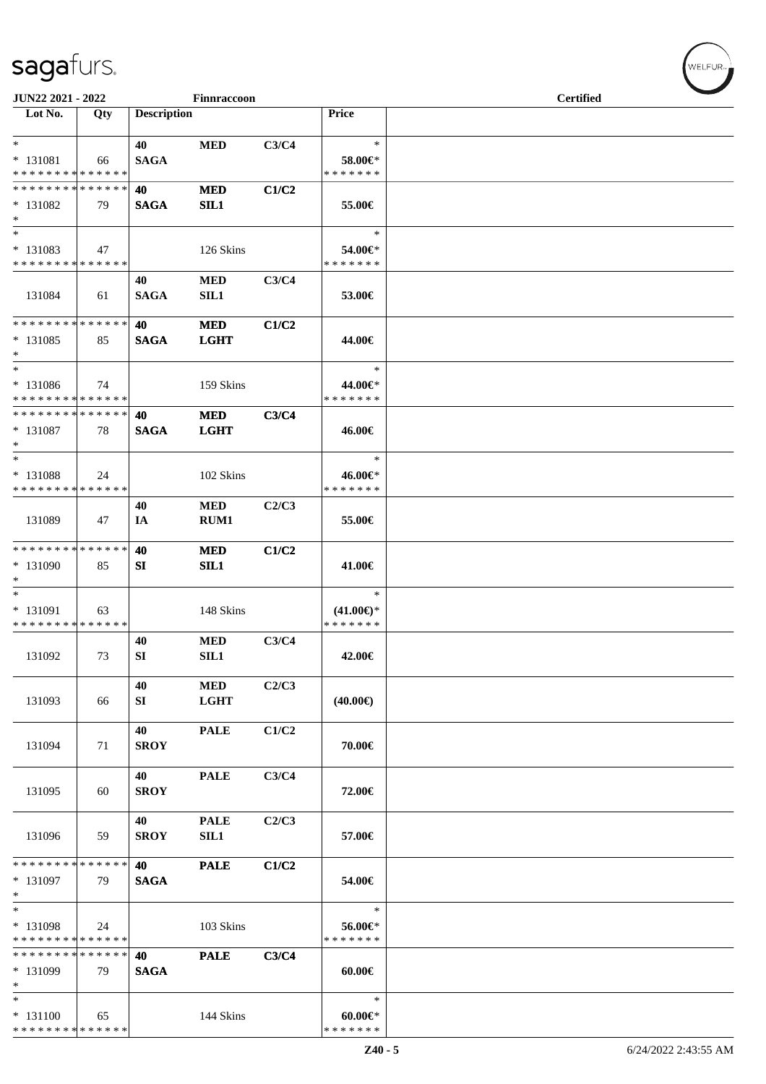| JUN22 2021 - 2022                                       |              |                    | Finnraccoon               |       |                                                | <b>Certified</b> |  |
|---------------------------------------------------------|--------------|--------------------|---------------------------|-------|------------------------------------------------|------------------|--|
| Lot No.                                                 | Qty          | <b>Description</b> |                           |       | Price                                          |                  |  |
| $*$<br>$* 131081$<br>* * * * * * * * * * * * * *        | 66           | 40<br><b>SAGA</b>  | <b>MED</b>                | C3/C4 | $\ast$<br>58.00€*<br>* * * * * * *             |                  |  |
| * * * * * * * * * * * * * *<br>* 131082<br>$*$          | 79           | 40<br><b>SAGA</b>  | <b>MED</b><br>SL1         | C1/C2 | 55.00€                                         |                  |  |
| $*$<br>* 131083<br>* * * * * * * * * * * * * *          | 47           |                    | 126 Skins                 |       | $\ast$<br>54.00€*<br>* * * * * * *             |                  |  |
| 131084                                                  | 61           | 40<br><b>SAGA</b>  | <b>MED</b><br><b>SIL1</b> | C3/C4 | 53.00€                                         |                  |  |
| * * * * * * * *<br>$* 131085$<br>$\ast$                 | ******<br>85 | 40<br><b>SAGA</b>  | <b>MED</b><br><b>LGHT</b> | C1/C2 | 44.00€                                         |                  |  |
| $\ast$<br>$* 131086$<br>* * * * * * * * * * * * * *     | 74           |                    | 159 Skins                 |       | $\ast$<br>44.00€*<br>* * * * * * *             |                  |  |
| * * * * * * * * * * * * * * *<br>* 131087<br>$*$<br>$*$ | 78           | 40<br><b>SAGA</b>  | <b>MED</b><br><b>LGHT</b> | C3/C4 | 46.00€                                         |                  |  |
| * 131088<br>* * * * * * * * * * * * * *                 | 24           |                    | 102 Skins                 |       | $\ast$<br>46.00€*<br>* * * * * * *             |                  |  |
| 131089                                                  | 47           | 40<br>IA           | <b>MED</b><br>RUM1        | C2/C3 | 55.00€                                         |                  |  |
| * * * * * * * * * * * * * *<br>* 131090<br>$*$          | 85           | 40<br>SI           | <b>MED</b><br>SIL1        | C1/C2 | 41.00€                                         |                  |  |
| $*$<br>* 131091<br>* * * * * * * * * * * * * *          | 63           |                    | 148 Skins                 |       | $\ast$<br>$(41.00\epsilon)$ *<br>* * * * * * * |                  |  |
| 131092                                                  | 73           | 40<br>SI           | <b>MED</b><br>SIL1        | C3/C4 | 42.00€                                         |                  |  |
| 131093                                                  | 66           | 40<br>SI           | <b>MED</b><br><b>LGHT</b> | C2/C3 | $(40.00\epsilon)$                              |                  |  |
| 131094                                                  | 71           | 40<br><b>SROY</b>  | <b>PALE</b>               | C1/C2 | 70.00€                                         |                  |  |
| 131095                                                  | 60           | 40<br><b>SROY</b>  | <b>PALE</b>               | C3/C4 | 72.00€                                         |                  |  |
| 131096                                                  | 59           | 40<br><b>SROY</b>  | <b>PALE</b><br>SIL1       | C2/C3 | 57.00€                                         |                  |  |
| * * * * * * * * * * * * * *<br>* 131097<br>$*$          | 79           | 40<br><b>SAGA</b>  | <b>PALE</b>               | C1/C2 | 54.00€                                         |                  |  |
| $*$<br>* 131098<br>* * * * * * * * * * * * * *          | 24           |                    | 103 Skins                 |       | $\ast$<br>56.00€*<br>* * * * * * *             |                  |  |
| * * * * * * * * * * * * * *<br>* 131099<br>$*$          | 79           | 40<br><b>SAGA</b>  | <b>PALE</b>               | C3/C4 | $60.00 \in$                                    |                  |  |
| $*$<br>$* 131100$<br>* * * * * * * * * * * * * *        | 65           |                    | 144 Skins                 |       | $\ast$<br>$60.00 \in$<br>* * * * * * *         |                  |  |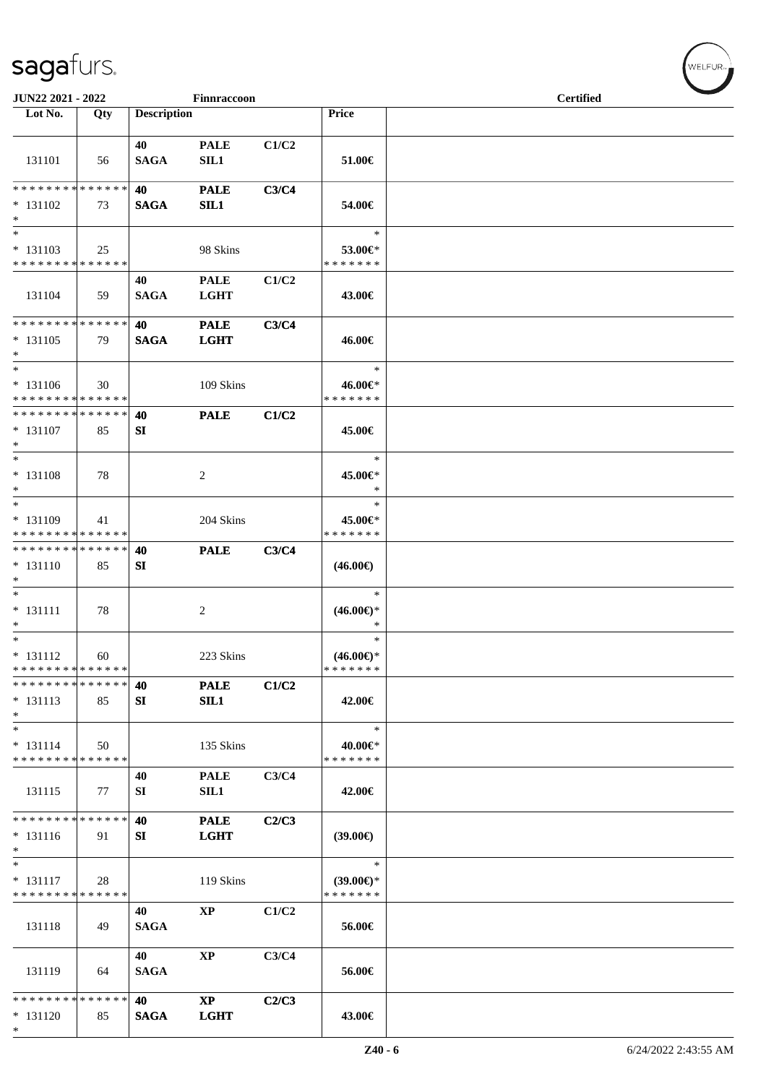| JUN22 2021 - 2022                             |     |                    | Finnraccoon            |       |                               | <b>Certified</b> |  |
|-----------------------------------------------|-----|--------------------|------------------------|-------|-------------------------------|------------------|--|
| Lot No.                                       | Qty | <b>Description</b> |                        |       | Price                         |                  |  |
|                                               |     |                    |                        |       |                               |                  |  |
| 131101                                        | 56  | 40<br><b>SAGA</b>  | <b>PALE</b><br>SIL1    | C1/C2 | 51.00€                        |                  |  |
| * * * * * * * * * * * * * *                   |     | 40                 | <b>PALE</b>            | C3/C4 |                               |                  |  |
| $* 131102$                                    | 73  | <b>SAGA</b>        | SL1                    |       | 54.00€                        |                  |  |
| $*$                                           |     |                    |                        |       |                               |                  |  |
| $\ast$                                        |     |                    |                        |       | $\ast$                        |                  |  |
| $* 131103$<br>* * * * * * * * * * * * * *     | 25  |                    | 98 Skins               |       | 53.00€*<br>* * * * * * *      |                  |  |
|                                               |     | 40                 | <b>PALE</b>            | C1/C2 |                               |                  |  |
| 131104                                        | 59  | <b>SAGA</b>        | <b>LGHT</b>            |       | 43.00€                        |                  |  |
| **************                                |     | 40                 | <b>PALE</b>            | C3/C4 |                               |                  |  |
| $* 131105$<br>$*$                             | 79  | <b>SAGA</b>        | <b>LGHT</b>            |       | 46.00€                        |                  |  |
| $\ast$                                        |     |                    |                        |       | $\ast$                        |                  |  |
| $* 131106$                                    | 30  |                    | 109 Skins              |       | 46.00€*<br>* * * * * * *      |                  |  |
| * * * * * * * * * * * * * *<br>************** |     | 40                 | <b>PALE</b>            | C1/C2 |                               |                  |  |
| $* 131107$<br>$\ast$                          | 85  | SI                 |                        |       | 45.00€                        |                  |  |
| $\ast$                                        |     |                    |                        |       | $\ast$                        |                  |  |
| $* 131108$<br>$*$                             | 78  |                    | 2                      |       | 45.00€*<br>$\ast$             |                  |  |
| $*$                                           |     |                    |                        |       | $\ast$                        |                  |  |
| * 131109<br>* * * * * * * * * * * * * *       | 41  |                    | 204 Skins              |       | 45.00€*<br>* * * * * * *      |                  |  |
| * * * * * * * * * * * * * *                   |     | 40                 | <b>PALE</b>            | C3/C4 |                               |                  |  |
| $* 131110$<br>$\ast$                          | 85  | <b>SI</b>          |                        |       | $(46.00\epsilon)$             |                  |  |
| $*$                                           |     |                    |                        |       | $\ast$                        |                  |  |
| $* 131111$                                    | 78  |                    | 2                      |       | $(46.00\epsilon)$ *           |                  |  |
| $\ast$<br>$*$                                 |     |                    |                        |       | $\ast$                        |                  |  |
| $* 131112$                                    | 60  |                    | 223 Skins              |       | $\ast$<br>$(46.00\epsilon)$ * |                  |  |
| * * * * * * * * * * * * * * *                 |     |                    |                        |       | * * * * * * *                 |                  |  |
| * * * * * * * * * * * * * *                   |     | 40                 | <b>PALE</b>            | C1/C2 |                               |                  |  |
| $* 131113$                                    | 85  | <b>SI</b>          | SL1                    |       | 42.00€                        |                  |  |
| $\ast$<br>$\ast$                              |     |                    |                        |       | $\ast$                        |                  |  |
| $* 131114$                                    | 50  |                    | 135 Skins              |       | 40.00€*                       |                  |  |
| * * * * * * * * * * * * * *                   |     |                    |                        |       | * * * * * * *                 |                  |  |
| 131115                                        | 77  | 40<br>SI           | <b>PALE</b><br>SL1     | C3/C4 | 42.00€                        |                  |  |
| * * * * * * * * * * * * * *                   |     | 40                 | <b>PALE</b>            | C2/C3 |                               |                  |  |
| $* 131116$<br>$\ast$                          | 91  | SI                 | <b>LGHT</b>            |       | (39.00)                       |                  |  |
| $\overline{\phantom{1}}$                      |     |                    |                        |       | $\ast$                        |                  |  |
| $* 131117$<br>* * * * * * * * * * * * * *     | 28  |                    | 119 Skins              |       | $(39.00€)$ *<br>* * * * * * * |                  |  |
| 131118                                        | 49  | 40<br><b>SAGA</b>  | $\bold{XP}$            | C1/C2 | 56.00€                        |                  |  |
|                                               |     | 40                 | $\bold{XP}$            | C3/C4 |                               |                  |  |
| 131119                                        | 64  | <b>SAGA</b>        |                        |       | 56.00€                        |                  |  |
| * * * * * * * * * * * * * *                   |     | 40                 | $\mathbf{X}\mathbf{P}$ | C2/C3 |                               |                  |  |
| $* 131120$<br>$\ast$                          | 85  | <b>SAGA</b>        | <b>LGHT</b>            |       | 43.00€                        |                  |  |

 $w$ ELFUR<sub>m</sub>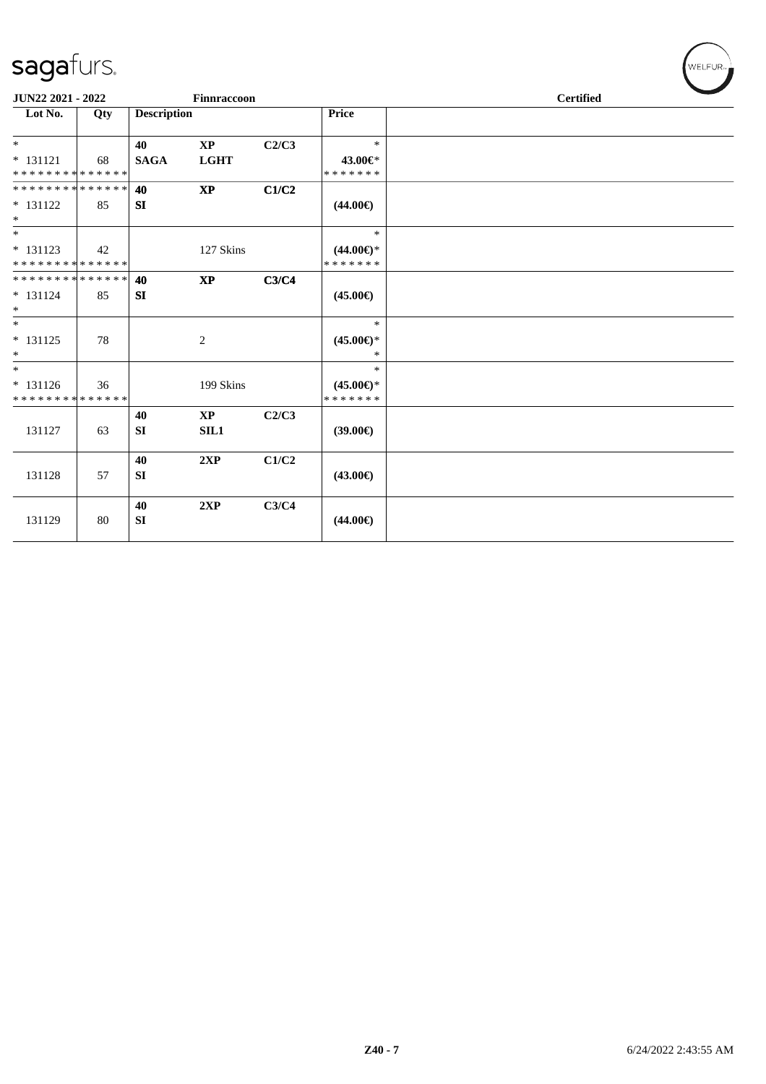| JUN22 2021 - 2022           |     |                    | Finnraccoon            |       |                     | <b>Certified</b> |  |
|-----------------------------|-----|--------------------|------------------------|-------|---------------------|------------------|--|
| Lot No.                     | Qty | <b>Description</b> |                        |       | <b>Price</b>        |                  |  |
| $\ast$                      |     | 40                 | $\mathbf{X}\mathbf{P}$ | C2/C3 | $\ast$              |                  |  |
| $* 131121$                  | 68  | <b>SAGA</b>        | <b>LGHT</b>            |       | 43.00€*             |                  |  |
| **************              |     |                    |                        |       | * * * * * * *       |                  |  |
| **************              |     | 40                 | $\bold{XP}$            | C1/C2 |                     |                  |  |
| $* 131122$<br>$\ast$        | 85  | SI                 |                        |       | $(44.00\epsilon)$   |                  |  |
| $\ast$                      |     |                    |                        |       | $\ast$              |                  |  |
| $* 131123$                  | 42  |                    | 127 Skins              |       | $(44.00\epsilon)$ * |                  |  |
| **************              |     |                    |                        |       | * * * * * * *       |                  |  |
| **************              |     | 40                 | <b>XP</b>              | C3/C4 |                     |                  |  |
| $* 131124$                  | 85  | SI                 |                        |       | $(45.00\epsilon)$   |                  |  |
| $*$                         |     |                    |                        |       |                     |                  |  |
| $\ast$                      |     |                    |                        |       | $\ast$              |                  |  |
| $* 131125$                  | 78  |                    | 2                      |       | $(45.00\epsilon)$ * |                  |  |
| $\ast$                      |     |                    |                        |       | $\ast$              |                  |  |
| $\ast$                      |     |                    |                        |       | $*$                 |                  |  |
| $* 131126$                  | 36  |                    | 199 Skins              |       | $(45.00\epsilon)$ * |                  |  |
| * * * * * * * * * * * * * * |     |                    |                        |       | * * * * * * *       |                  |  |
|                             |     | 40                 | $\mathbf{X}\mathbf{P}$ | C2/C3 |                     |                  |  |
| 131127                      | 63  | SI                 | SL1                    |       | $(39.00\epsilon)$   |                  |  |
|                             |     | 40                 | 2XP                    | C1/C2 |                     |                  |  |
| 131128                      | 57  | SI                 |                        |       | $(43.00\epsilon)$   |                  |  |
|                             |     |                    |                        |       |                     |                  |  |
|                             |     | 40                 | 2XP                    | C3/C4 |                     |                  |  |
| 131129                      | 80  | SI                 |                        |       | $(44.00\epsilon)$   |                  |  |
|                             |     |                    |                        |       |                     |                  |  |

 $(\forall ELFUR_{\approx})$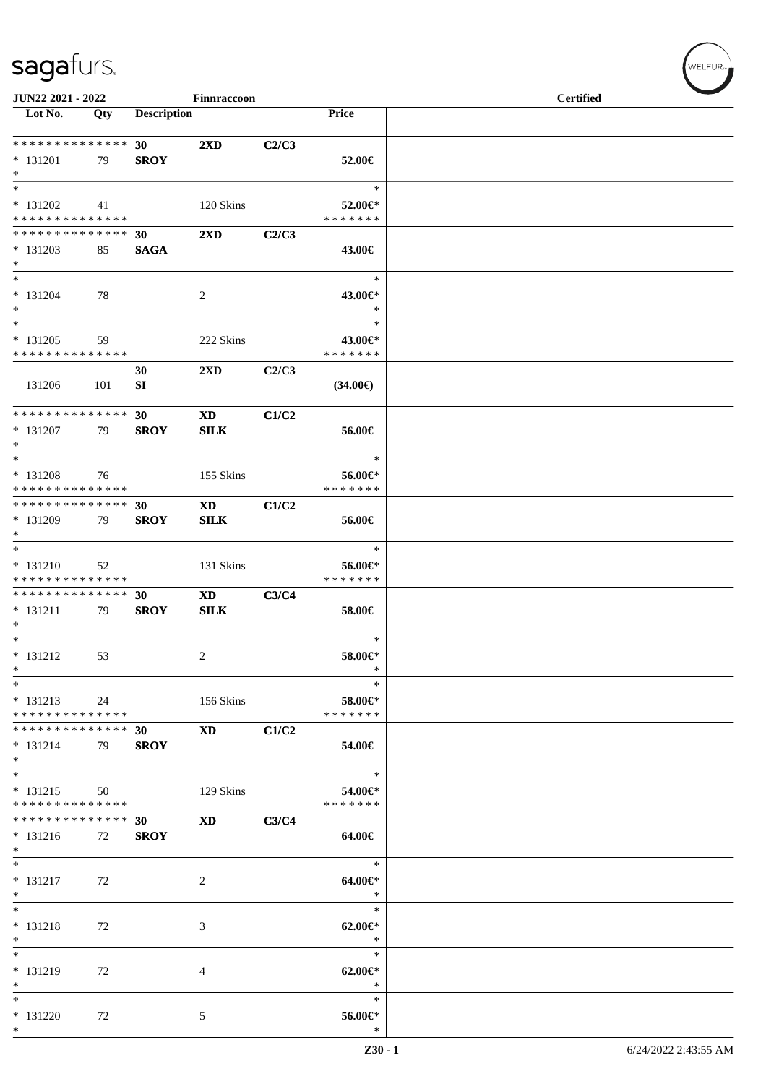| JUN22 2021 - 2022                                    |     |                                | Finnraccoon                                                                                                                                                                                                                                   |       |                                    | <b>Certified</b> |
|------------------------------------------------------|-----|--------------------------------|-----------------------------------------------------------------------------------------------------------------------------------------------------------------------------------------------------------------------------------------------|-------|------------------------------------|------------------|
| Lot No.                                              | Qty | <b>Description</b>             |                                                                                                                                                                                                                                               |       | Price                              |                  |
| **************<br>$* 131201$<br>$\ast$               | 79  | 30 <sub>o</sub><br><b>SROY</b> | $2\mathbf{X}\mathbf{D}$                                                                                                                                                                                                                       | C2/C3 | 52.00€                             |                  |
| $\ast$<br>$* 131202$<br>* * * * * * * * * * * * * *  | 41  |                                | 120 Skins                                                                                                                                                                                                                                     |       | $\ast$<br>52.00€*<br>* * * * * * * |                  |
| ******** <mark>******</mark><br>$* 131203$<br>$\ast$ | 85  | 30<br><b>SAGA</b>              | $2\mathbf{X}\mathbf{D}$                                                                                                                                                                                                                       | C2/C3 | 43.00€                             |                  |
| $\ast$<br>$* 131204$<br>$\ast$                       | 78  |                                | $\overline{2}$                                                                                                                                                                                                                                |       | $\ast$<br>43.00€*<br>$\ast$        |                  |
| $\ast$<br>$* 131205$<br>* * * * * * * * * * * * * *  | 59  |                                | 222 Skins                                                                                                                                                                                                                                     |       | $\ast$<br>43.00€*<br>* * * * * * * |                  |
| 131206                                               | 101 | 30<br>SI                       | 2XD                                                                                                                                                                                                                                           | C2/C3 | $(34.00\epsilon)$                  |                  |
| **************<br>$* 131207$<br>$*$                  | 79  | 30<br><b>SROY</b>              | $\mathbf{X}\mathbf{D}$<br><b>SILK</b>                                                                                                                                                                                                         | C1/C2 | 56.00€                             |                  |
| $\ast$<br>* 131208<br>* * * * * * * * * * * * * *    | 76  |                                | 155 Skins                                                                                                                                                                                                                                     |       | $\ast$<br>56.00€*<br>* * * * * * * |                  |
| **************<br>* 131209<br>$*$                    | 79  | 30<br><b>SROY</b>              | $\mathbf{X}\mathbf{D}$<br><b>SILK</b>                                                                                                                                                                                                         | C1/C2 | 56.00€                             |                  |
| $*$<br>$* 131210$<br>* * * * * * * * * * * * * *     | 52  |                                | 131 Skins                                                                                                                                                                                                                                     |       | $\ast$<br>56.00€*<br>* * * * * * * |                  |
| * * * * * * * * * * * * * *<br>$* 131211$<br>$\ast$  | 79  | 30<br><b>SROY</b>              | XD and the set of the set of the set of the set of the set of the set of the set of the set of the set of the set of the set of the set of the set of the set of the set of the set of the set of the set of the set of the se<br><b>SILK</b> | C3/C4 | 58.00€                             |                  |
| $*$<br>$* 131212$<br>$\ast$                          | 53  |                                | $\overline{c}$                                                                                                                                                                                                                                |       | $\ast$<br>58.00€*<br>$\ast$        |                  |
| $\ast$<br>$* 131213$<br>* * * * * * * * * * * * * *  | 24  |                                | 156 Skins                                                                                                                                                                                                                                     |       | $\ast$<br>58.00€*<br>* * * * * * * |                  |
| * * * * * * * * * * * * * *<br>$* 131214$<br>$*$ $-$ | 79  | 30 <sub>o</sub><br><b>SROY</b> | <b>XD</b>                                                                                                                                                                                                                                     | C1/C2 | 54.00€                             |                  |
| $*$<br>$* 131215$<br>* * * * * * * * * * * * * *     | 50  |                                | 129 Skins                                                                                                                                                                                                                                     |       | $\ast$<br>54.00€*<br>* * * * * * * |                  |
| * * * * * * * * * * * * * *<br>$* 131216$<br>$*$     | 72  | 30<br><b>SROY</b>              | <b>XD</b>                                                                                                                                                                                                                                     | C3/C4 | 64.00€                             |                  |
| $*$<br>$* 131217$<br>$\ast$                          | 72  |                                | 2                                                                                                                                                                                                                                             |       | $\ast$<br>$64.00 \in$<br>$\ast$    |                  |
| $*$<br>$* 131218$<br>$\ast$                          | 72  |                                | 3                                                                                                                                                                                                                                             |       | $\ast$<br>$62.00 \in$<br>$\ast$    |                  |
| $\ast$<br>* 131219<br>$\ast$                         | 72  |                                | 4                                                                                                                                                                                                                                             |       | $\ast$<br>$62.00 \in$ *<br>$\ast$  |                  |
| $\ast$<br>$* 131220$<br>$\ast$                       | 72  |                                | 5                                                                                                                                                                                                                                             |       | $\ast$<br>56.00€*<br>$\ast$        |                  |

WELFUR<sub><sup>N</sub></sub></sub></sup>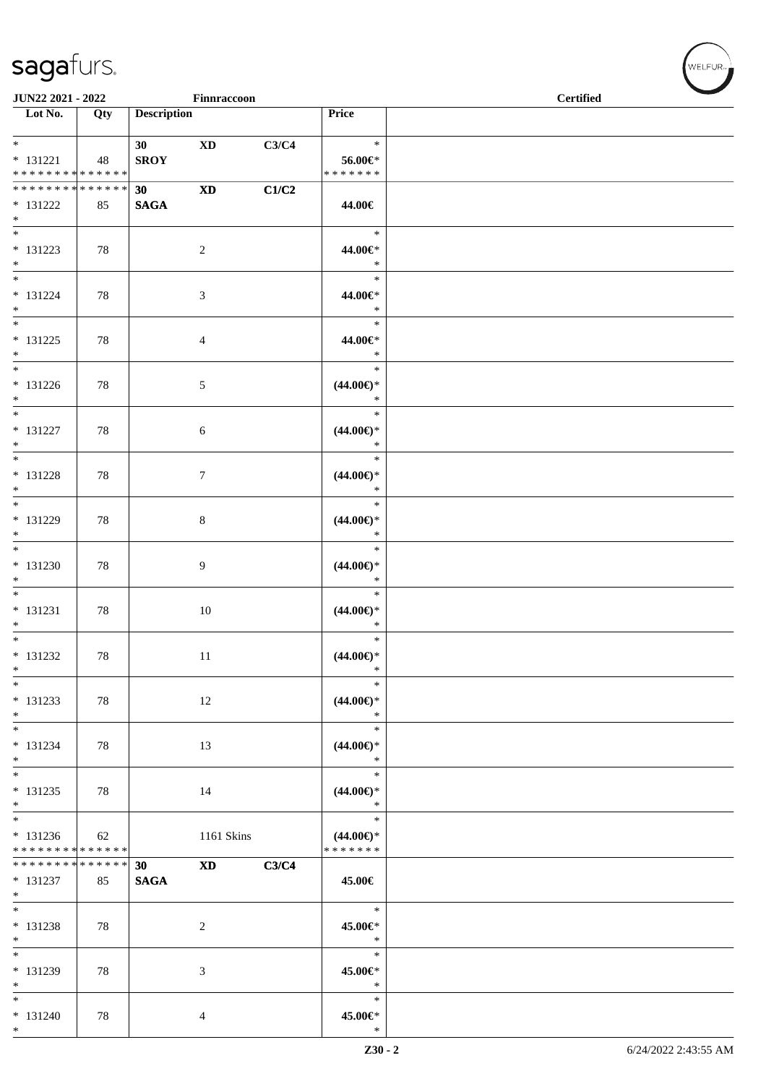| <b>JUN22 2021 - 2022</b>                          |     |                                             | Finnraccoon |                                                 | <b>Certified</b> |
|---------------------------------------------------|-----|---------------------------------------------|-------------|-------------------------------------------------|------------------|
| $\overline{\phantom{1}}$ Lot No.                  | Qty | <b>Description</b>                          |             | Price                                           |                  |
| $*$<br>$* 131221$<br>* * * * * * * * * * * * * *  | 48  | 30 <sub>1</sub><br><b>XD</b><br><b>SROY</b> |             | $\ast$<br>C3/C4<br>$56.00 \in$<br>* * * * * * * |                  |
| ******** <mark>******</mark><br>$* 131222$<br>$*$ | 85  | $\mathbf{X}\mathbf{D}$<br>30<br><b>SAGA</b> |             | C1/C2<br>44.00€                                 |                  |
| $\overline{\ast}$<br>$* 131223$<br>$*$            | 78  | $\overline{2}$                              |             | $\ast$<br>44.00€*<br>$\ast$                     |                  |
| $*$<br>$* 131224$<br>$*$                          | 78  | $\mathfrak{Z}$                              |             | $\ast$<br>44.00€*<br>$\ast$                     |                  |
| $*$<br>$* 131225$<br>$*$                          | 78  | $\overline{4}$                              |             | $\ast$<br>44.00€*<br>$\ast$                     |                  |
| $*$<br>$* 131226$<br>$*$                          | 78  | 5                                           |             | $\ast$<br>$(44.00\epsilon)$ *<br>$\ast$         |                  |
| $*$<br>$* 131227$<br>$*$                          | 78  | $\sqrt{6}$                                  |             | $\ast$<br>$(44.00\epsilon)$ *<br>$\ast$         |                  |
| $* 131228$<br>$*$                                 | 78  | $\boldsymbol{7}$                            |             | $\ast$<br>$(44.00\epsilon)$ *<br>$\ast$         |                  |
| $*$<br>* 131229<br>$*$                            | 78  | $8\,$                                       |             | $\ast$<br>$(44.00ε)$ *<br>$\ast$                |                  |
| $* 131230$<br>$*$                                 | 78  | 9                                           |             | $\ast$<br>$(44.00ε)$ *<br>$\ast$                |                  |
| $*$<br>$* 131231$<br>$*$                          | 78  | 10                                          |             | $\ast$<br>$(44.00ε)$ *<br>$\ast$                |                  |
| $*$<br>* 131232<br>$*$                            | 78  | 11                                          |             | $\ast$<br>$(44.00\epsilon)$ *<br>$\ast$         |                  |
| $*$<br>$* 131233$<br>$*$                          | 78  | 12                                          |             | $\ast$<br>$(44.00ε)$ *<br>$\ast$                |                  |
| $* 131234$<br>$*$                                 | 78  | 13                                          |             | $\ast$<br>$(44.00\epsilon)$ *<br>$\ast$         |                  |
| $*$<br>$* 131235$<br>$*$                          | 78  | 14                                          |             | $\ast$<br>$(44.00ε)$ *<br>$\ast$                |                  |
| $* 131236$<br>* * * * * * * * * * * * * * *       | 62  |                                             | 1161 Skins  | $\ast$<br>$(44.00\epsilon)$ *<br>*******        |                  |
| * * * * * * * * * * * * * * *<br>* 131237<br>$*$  | 85  | <b>XD</b><br>30<br><b>SAGA</b>              |             | C3/C4<br>45.00€                                 |                  |
| $*$<br>* 131238<br>$*$                            | 78  | 2                                           |             | $\ast$<br>45.00€*<br>$\ast$                     |                  |
| $*$<br>* 131239<br>$*$                            | 78  | 3                                           |             | $\ast$<br>45.00€*<br>$\ast$                     |                  |
| $*$<br>$* 131240$<br>$*$                          | 78  | 4                                           |             | $\ast$<br>45.00€*<br>$\ast$                     |                  |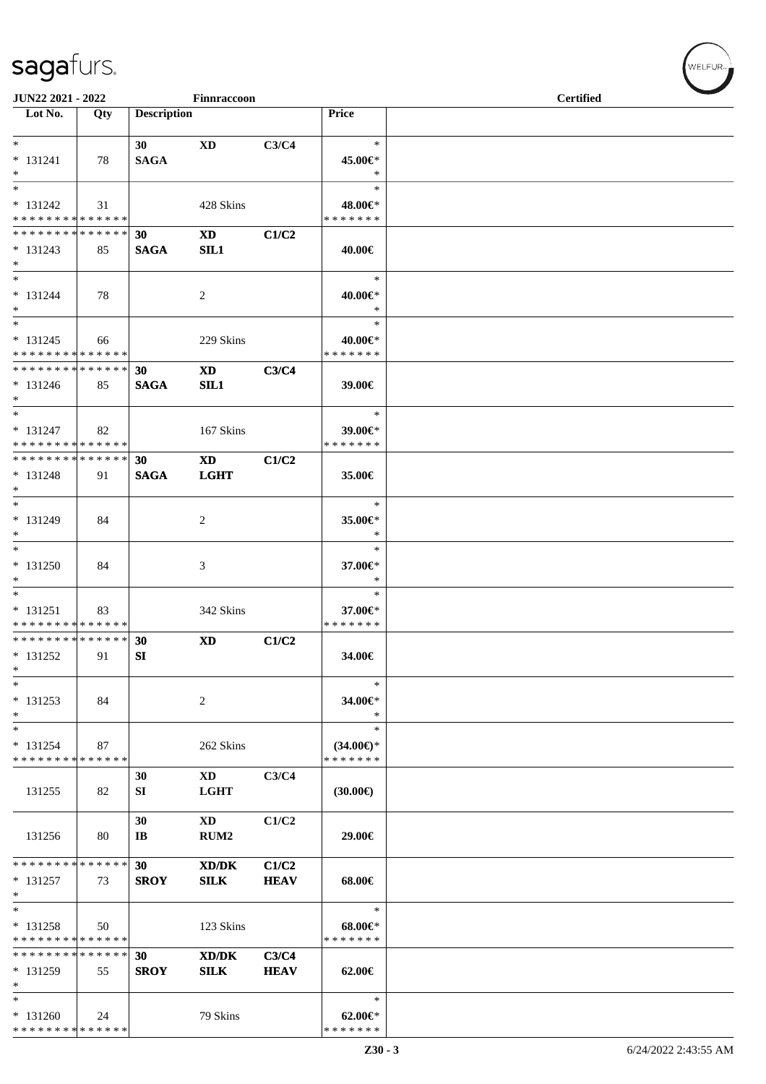| JUN22 2021 - 2022<br>Finnraccoon                            |     |                                |                               |                      |                                      | <b>Certified</b> |  |  |  |
|-------------------------------------------------------------|-----|--------------------------------|-------------------------------|----------------------|--------------------------------------|------------------|--|--|--|
| $\overline{\phantom{1}}$ Lot No.                            | Qty | <b>Description</b>             |                               |                      | Price                                |                  |  |  |  |
|                                                             |     |                                |                               |                      |                                      |                  |  |  |  |
| $*$<br>$* 131241$                                           | 78  | 30 <sup>1</sup><br><b>SAGA</b> | <b>XD</b>                     | C3/C4                | $\ast$<br>45.00€*                    |                  |  |  |  |
| $\ast$                                                      |     |                                |                               |                      | $\ast$                               |                  |  |  |  |
| $\ast$                                                      |     |                                |                               |                      | $\ast$                               |                  |  |  |  |
| $* 131242$                                                  | 31  |                                | 428 Skins                     |                      | 48.00€*                              |                  |  |  |  |
| * * * * * * * * * * * * * *<br>**************               |     | 30                             | $\mathbf{X}\mathbf{D}$        | C1/C2                | * * * * * * *                        |                  |  |  |  |
| $* 131243$                                                  | 85  | <b>SAGA</b>                    | SL1                           |                      | 40.00€                               |                  |  |  |  |
| $\ast$                                                      |     |                                |                               |                      |                                      |                  |  |  |  |
| $\overline{\phantom{a}^*}$                                  |     |                                |                               |                      | $\ast$                               |                  |  |  |  |
| $* 131244$<br>$\ast$                                        | 78  |                                | $\overline{2}$                |                      | 40.00€*<br>$\ast$                    |                  |  |  |  |
| $\overline{\phantom{a}^*}$                                  |     |                                |                               |                      | $\ast$                               |                  |  |  |  |
| $* 131245$                                                  | 66  |                                | 229 Skins                     |                      | 40.00€*                              |                  |  |  |  |
| * * * * * * * * * * * * * *<br>******** <mark>******</mark> |     | 30                             | $\mathbf{X}\mathbf{D}$        | C3/C4                | * * * * * * *                        |                  |  |  |  |
| $* 131246$                                                  | 85  | <b>SAGA</b>                    | SL1                           |                      | 39.00€                               |                  |  |  |  |
| $*$                                                         |     |                                |                               |                      |                                      |                  |  |  |  |
| $\ast$<br>$* 131247$                                        |     |                                |                               |                      | $\ast$<br>39.00€*                    |                  |  |  |  |
| * * * * * * * * * * * * * *                                 | 82  |                                | 167 Skins                     |                      | * * * * * * *                        |                  |  |  |  |
| **************                                              |     | 30 <sup>°</sup>                | $\mathbf{X}\mathbf{D}$        | C1/C2                |                                      |                  |  |  |  |
| $* 131248$                                                  | 91  | <b>SAGA</b>                    | <b>LGHT</b>                   |                      | 35.00€                               |                  |  |  |  |
| $*$<br>$*$                                                  |     |                                |                               |                      | $\ast$                               |                  |  |  |  |
| * 131249                                                    | 84  |                                | 2                             |                      | 35.00€*                              |                  |  |  |  |
| $\ast$                                                      |     |                                |                               |                      | $\ast$                               |                  |  |  |  |
| $*$<br>* 131250                                             | 84  |                                |                               |                      | $\ast$<br>37.00€*                    |                  |  |  |  |
| $\ast$                                                      |     |                                | 3                             |                      | $\ast$                               |                  |  |  |  |
| $\ast$                                                      |     |                                |                               |                      | $\ast$                               |                  |  |  |  |
| $* 131251$                                                  | 83  |                                | 342 Skins                     |                      | 37.00€*<br>* * * * * * *             |                  |  |  |  |
| * * * * * * * * * * * * * *<br>* * * * * * * * * * * * * *  |     | 30                             | <b>XD</b>                     | C1/C2                |                                      |                  |  |  |  |
| $* 131252$                                                  | 91  | SI                             |                               |                      | 34.00€                               |                  |  |  |  |
| $\ast$                                                      |     |                                |                               |                      |                                      |                  |  |  |  |
| $\ast$<br>$* 131253$                                        | 84  |                                | $\overline{c}$                |                      | $\ast$<br>34.00€*                    |                  |  |  |  |
| $\ast$                                                      |     |                                |                               |                      | $\ast$                               |                  |  |  |  |
| $\ast$                                                      |     |                                |                               |                      | $\ast$                               |                  |  |  |  |
| $* 131254$<br>* * * * * * * * * * * * * *                   | 87  |                                | 262 Skins                     |                      | $(34.00\epsilon)$ *<br>* * * * * * * |                  |  |  |  |
|                                                             |     | 30                             | <b>XD</b>                     | C3/C4                |                                      |                  |  |  |  |
| 131255                                                      | 82  | ${\bf SI}$                     | <b>LGHT</b>                   |                      | $(30.00\epsilon)$                    |                  |  |  |  |
|                                                             |     |                                |                               |                      |                                      |                  |  |  |  |
| 131256                                                      | 80  | 30<br>IB                       | <b>XD</b><br>RUM <sub>2</sub> | C1/C2                | 29.00€                               |                  |  |  |  |
|                                                             |     |                                |                               |                      |                                      |                  |  |  |  |
| * * * * * * * * * * * * * *                                 |     | 30                             | XD/DK                         | C1/C2                |                                      |                  |  |  |  |
| $* 131257$<br>$\ast$                                        | 73  | <b>SROY</b>                    | SLK                           | <b>HEAV</b>          | 68.00€                               |                  |  |  |  |
| $\ast$                                                      |     |                                |                               |                      | $\ast$                               |                  |  |  |  |
| $* 131258$                                                  | 50  |                                | 123 Skins                     |                      | $68.00 \in$                          |                  |  |  |  |
| * * * * * * * * * * * * * *<br>* * * * * * * * * * * * * *  |     |                                |                               |                      | * * * * * * *                        |                  |  |  |  |
| * 131259                                                    | 55  | 30<br><b>SROY</b>              | XD/DK<br><b>SILK</b>          | C3/C4<br><b>HEAV</b> | 62.00€                               |                  |  |  |  |
| $\ast$                                                      |     |                                |                               |                      |                                      |                  |  |  |  |
| $\ast$                                                      |     |                                |                               |                      | $\ast$                               |                  |  |  |  |
| $* 131260$<br>* * * * * * * * * * * * * *                   | 24  |                                | 79 Skins                      |                      | $62.00 \in$<br>* * * * * * *         |                  |  |  |  |
|                                                             |     |                                |                               |                      |                                      |                  |  |  |  |

WELFUR-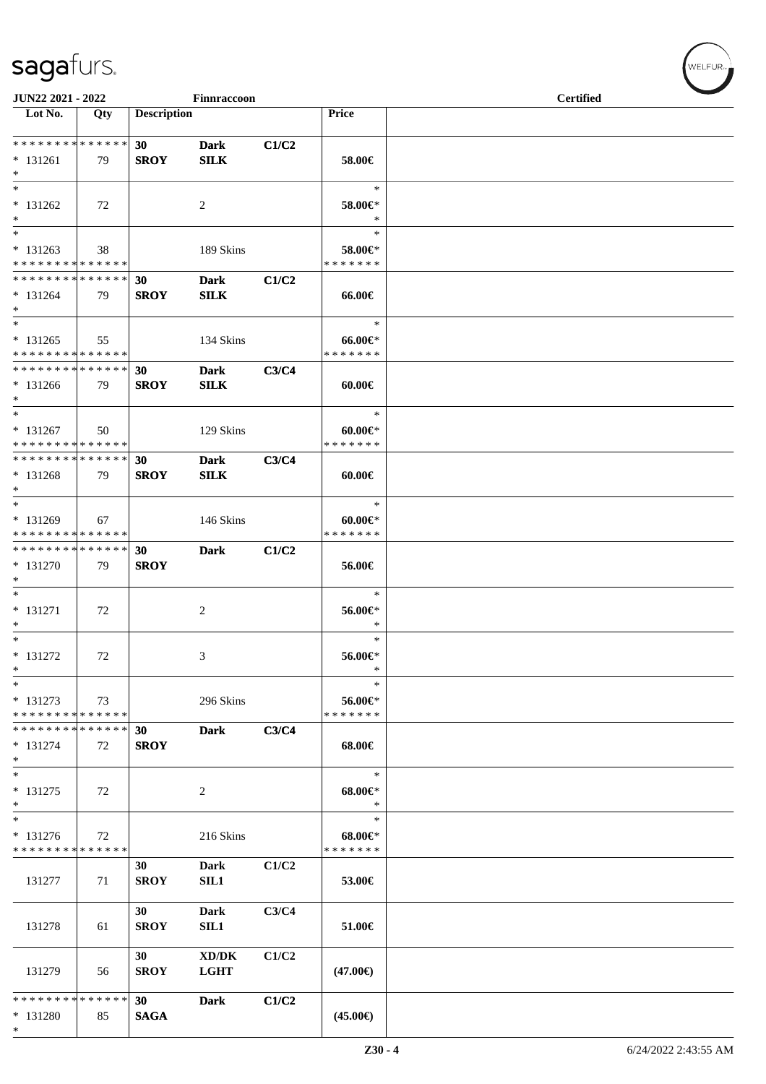| JUN22 2021 - 2022                                        |     |                    | Finnraccoon    |       |                                   | <b>Certified</b> |  |
|----------------------------------------------------------|-----|--------------------|----------------|-------|-----------------------------------|------------------|--|
| Lot No.                                                  | Qty | <b>Description</b> |                |       | Price                             |                  |  |
|                                                          |     |                    |                |       |                                   |                  |  |
| * * * * * * * * * * * * * *                              |     | 30 <sup>°</sup>    | <b>Dark</b>    | C1/C2 |                                   |                  |  |
| $* 131261$<br>$\ast$                                     | 79  | <b>SROY</b>        | <b>SILK</b>    |       | 58.00€                            |                  |  |
| $\ast$                                                   |     |                    |                |       | $\ast$                            |                  |  |
| $* 131262$                                               | 72  |                    | $\overline{c}$ |       | 58.00€*                           |                  |  |
| $\ast$                                                   |     |                    |                |       | $\ast$                            |                  |  |
| $*$                                                      |     |                    |                |       | $\ast$                            |                  |  |
| $* 131263$<br>* * * * * * * * * * * * * *                | 38  |                    | 189 Skins      |       | 58.00€*<br>* * * * * * *          |                  |  |
| **************                                           |     | 30                 | <b>Dark</b>    | C1/C2 |                                   |                  |  |
| $* 131264$                                               | 79  | <b>SROY</b>        | <b>SILK</b>    |       | 66.00€                            |                  |  |
| $*$                                                      |     |                    |                |       |                                   |                  |  |
| $\overline{\ast}$                                        |     |                    |                |       | $\ast$                            |                  |  |
| $* 131265$<br>* * * * * * * * * * * * * *                | 55  |                    | 134 Skins      |       | $66.00 \text{E}$<br>* * * * * * * |                  |  |
| **************                                           |     | 30                 | <b>Dark</b>    | C3/C4 |                                   |                  |  |
| * 131266                                                 | 79  | <b>SROY</b>        | <b>SILK</b>    |       | $60.00 \in$                       |                  |  |
| $*$                                                      |     |                    |                |       |                                   |                  |  |
| $\ast$                                                   |     |                    |                |       | $\ast$                            |                  |  |
| $* 131267$<br>* * * * * * * * * * * * * *                | 50  |                    | 129 Skins      |       | $60.00 \in$ *<br>* * * * * * *    |                  |  |
| * * * * * * * * * * * * * *                              |     | 30                 | <b>Dark</b>    | C3/C4 |                                   |                  |  |
| $* 131268$                                               | 79  | <b>SROY</b>        | <b>SILK</b>    |       | 60.00€                            |                  |  |
| $*$                                                      |     |                    |                |       |                                   |                  |  |
| $*$                                                      |     |                    |                |       | $\ast$                            |                  |  |
| * 131269<br>* * * * * * * * * * * * * *                  | 67  |                    | 146 Skins      |       | $60.00 \in$<br>* * * * * * *      |                  |  |
| * * * * * * * * * * * * * *                              |     | 30                 | <b>Dark</b>    | C1/C2 |                                   |                  |  |
| * 131270                                                 | 79  | <b>SROY</b>        |                |       | 56.00€                            |                  |  |
| $\ast$                                                   |     |                    |                |       |                                   |                  |  |
| $\ast$<br>$* 131271$                                     |     |                    |                |       | $\ast$                            |                  |  |
| $*$                                                      | 72  |                    | $\overline{c}$ |       | 56.00€*<br>$\ast$                 |                  |  |
| $*$                                                      |     |                    |                |       | $\ast$                            |                  |  |
| $* 131272$                                               | 72  |                    | 3              |       | 56.00€*                           |                  |  |
| $\ast$<br>$\ast$                                         |     |                    |                |       | $\ast$<br>$\ast$                  |                  |  |
| * 131273                                                 | 73  |                    | 296 Skins      |       | 56.00€*                           |                  |  |
| * * * * * * * * * * * * * *                              |     |                    |                |       | * * * * * * *                     |                  |  |
| * * * * * * * * * * * * * *                              |     | 30                 | <b>Dark</b>    | C3/C4 |                                   |                  |  |
| $* 131274$                                               | 72  | <b>SROY</b>        |                |       | 68.00€                            |                  |  |
| $\ast$<br>$*$                                            |     |                    |                |       | $\ast$                            |                  |  |
| * 131275                                                 | 72  |                    | 2              |       | $68.00 \in$                       |                  |  |
| $\ast$                                                   |     |                    |                |       | $\ast$                            |                  |  |
| $\ast$                                                   |     |                    |                |       | $\ast$                            |                  |  |
| $* 131276$<br>* * * * * * * * <mark>* * * * * * *</mark> | 72  |                    | 216 Skins      |       | $68.00 \in$<br>* * * * * * *      |                  |  |
|                                                          |     | 30                 | <b>Dark</b>    | C1/C2 |                                   |                  |  |
| 131277                                                   | 71  | <b>SROY</b>        | SIL1           |       | 53.00€                            |                  |  |
|                                                          |     |                    |                |       |                                   |                  |  |
|                                                          |     | 30                 | <b>Dark</b>    | C3/C4 |                                   |                  |  |
| 131278                                                   | 61  | <b>SROY</b>        | SIL1           |       | 51.00€                            |                  |  |
|                                                          |     | 30                 | XD/DK          | C1/C2 |                                   |                  |  |
| 131279                                                   | 56  | <b>SROY</b>        | <b>LGHT</b>    |       | $(47.00\epsilon)$                 |                  |  |
|                                                          |     |                    |                |       |                                   |                  |  |
| * * * * * * * * * * * * * *                              |     | 30                 | <b>Dark</b>    | C1/C2 |                                   |                  |  |
| * 131280<br>$\ast$                                       | 85  | <b>SAGA</b>        |                |       | $(45.00\epsilon)$                 |                  |  |
|                                                          |     |                    |                |       |                                   |                  |  |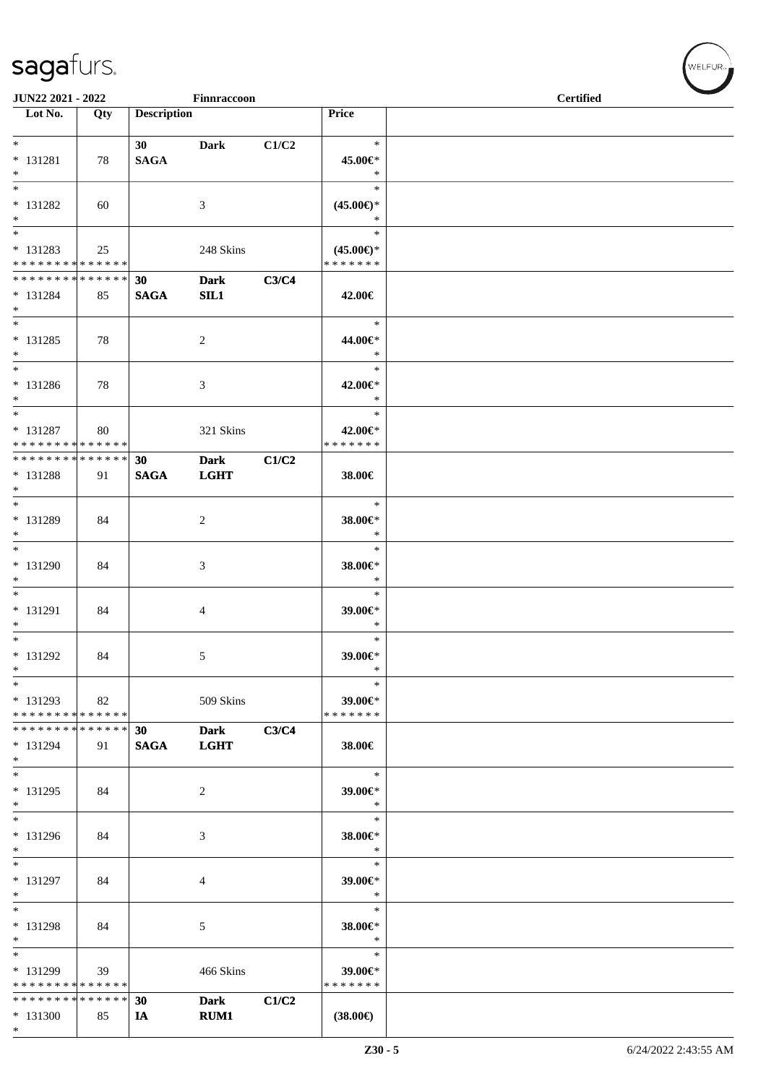| JUN22 2021 - 2022<br>Finnraccoon |     |                    |                |       |                          | <b>Certified</b> |
|----------------------------------|-----|--------------------|----------------|-------|--------------------------|------------------|
| $\overline{\phantom{1}}$ Lot No. | Qty | <b>Description</b> |                |       | Price                    |                  |
|                                  |     |                    |                |       |                          |                  |
| $*$                              |     | 30 <sup>1</sup>    | <b>Dark</b>    | C1/C2 | $\ast$                   |                  |
| $* 131281$                       | 78  | <b>SAGA</b>        |                |       | 45.00€*                  |                  |
| $*$                              |     |                    |                |       | $\ast$                   |                  |
| $\overline{\phantom{1}}$         |     |                    |                |       | $\ast$                   |                  |
| * 131282                         | 60  |                    | 3              |       | $(45.00\epsilon)$ *      |                  |
| $*$                              |     |                    |                |       | $\ast$                   |                  |
| $*$                              |     |                    |                |       | $\ast$                   |                  |
| * 131283                         | 25  |                    | 248 Skins      |       | $(45.00\epsilon)$ *      |                  |
| * * * * * * * * * * * * * * *    |     |                    |                |       | * * * * * * *            |                  |
| * * * * * * * * * * * * * * *    |     | 30                 | <b>Dark</b>    | C3/C4 |                          |                  |
| $* 131284$                       | 85  | <b>SAGA</b>        | SL1            |       | 42.00€                   |                  |
| $*$                              |     |                    |                |       |                          |                  |
|                                  |     |                    |                |       | $\ast$                   |                  |
| $* 131285$                       | 78  |                    |                |       | 44.00€*                  |                  |
| $*$                              |     |                    | $\overline{c}$ |       | $\ast$                   |                  |
| $*$                              |     |                    |                |       | $\ast$                   |                  |
| $* 131286$                       |     |                    |                |       | 42.00€*                  |                  |
| $*$                              | 78  |                    | 3              |       | $\ast$                   |                  |
| $*$                              |     |                    |                |       | $\ast$                   |                  |
| $* 131287$                       |     |                    |                |       |                          |                  |
| * * * * * * * * * * * * * *      | 80  |                    | 321 Skins      |       | 42.00€*<br>* * * * * * * |                  |
| ******** <mark>******</mark>     |     | 30                 |                | C1/C2 |                          |                  |
|                                  |     |                    | <b>Dark</b>    |       |                          |                  |
| * 131288<br>$*$                  | 91  | <b>SAGA</b>        | <b>LGHT</b>    |       | 38.00€                   |                  |
| $*$                              |     |                    |                |       | $\ast$                   |                  |
|                                  |     |                    |                |       |                          |                  |
| * 131289                         | 84  |                    | 2              |       | 38.00€*                  |                  |
| $*$<br>$*$                       |     |                    |                |       | $\ast$                   |                  |
|                                  |     |                    |                |       | $\ast$                   |                  |
| * 131290                         | 84  |                    | 3              |       | 38.00€*                  |                  |
| $*$<br>$\overline{\phantom{0}}$  |     |                    |                |       | $\ast$                   |                  |
|                                  |     |                    |                |       | $\ast$                   |                  |
| $* 131291$                       | 84  |                    | 4              |       | 39.00€*                  |                  |
| $*$                              |     |                    |                |       | $\ast$                   |                  |
| $*$                              |     |                    |                |       | $\ast$                   |                  |
| * 131292                         | 84  |                    | 5              |       | 39.00€*                  |                  |
| $\ast$                           |     |                    |                |       | $\ast$                   |                  |
| $*$                              |     |                    |                |       | $\ast$                   |                  |
| $* 131293$                       | 82  |                    | 509 Skins      |       | 39.00€*                  |                  |
| * * * * * * * * * * * * * *      |     |                    |                |       | * * * * * * *            |                  |
| * * * * * * * * * * * * * * *    |     | 30                 | <b>Dark</b>    | C3/C4 |                          |                  |
| * 131294                         | 91  | <b>SAGA</b>        | <b>LGHT</b>    |       | 38.00€                   |                  |
| $*$                              |     |                    |                |       |                          |                  |
| $*$                              |     |                    |                |       | $\ast$                   |                  |
| * 131295                         | 84  |                    | 2              |       | 39.00€*                  |                  |
| $*$                              |     |                    |                |       | $\ast$                   |                  |
| $*$                              |     |                    |                |       | $\ast$                   |                  |
| * 131296                         | 84  |                    | 3              |       | 38.00€*                  |                  |
| $\ast$                           |     |                    |                |       | $\ast$                   |                  |
| $\overline{\phantom{0}}$         |     |                    |                |       | $\ast$                   |                  |
| * 131297                         | 84  |                    | 4              |       | 39.00€*                  |                  |
| $*$                              |     |                    |                |       | $\ast$                   |                  |
| $*$                              |     |                    |                |       | $\ast$                   |                  |
| * 131298                         | 84  |                    | 5              |       | 38.00€*                  |                  |
| $*$                              |     |                    |                |       | $\ast$                   |                  |
| $*$                              |     |                    |                |       | $\ast$                   |                  |
| * 131299                         | 39  |                    | 466 Skins      |       | 39.00€*                  |                  |
| * * * * * * * * * * * * * *      |     |                    |                |       | * * * * * * *            |                  |
| * * * * * * * * * * * * * *      |     | 30                 | <b>Dark</b>    | C1/C2 |                          |                  |
| * 131300                         | 85  | IA                 | <b>RUM1</b>    |       | $(38.00\epsilon)$        |                  |
| $*$                              |     |                    |                |       |                          |                  |

 $w$ ELFUR-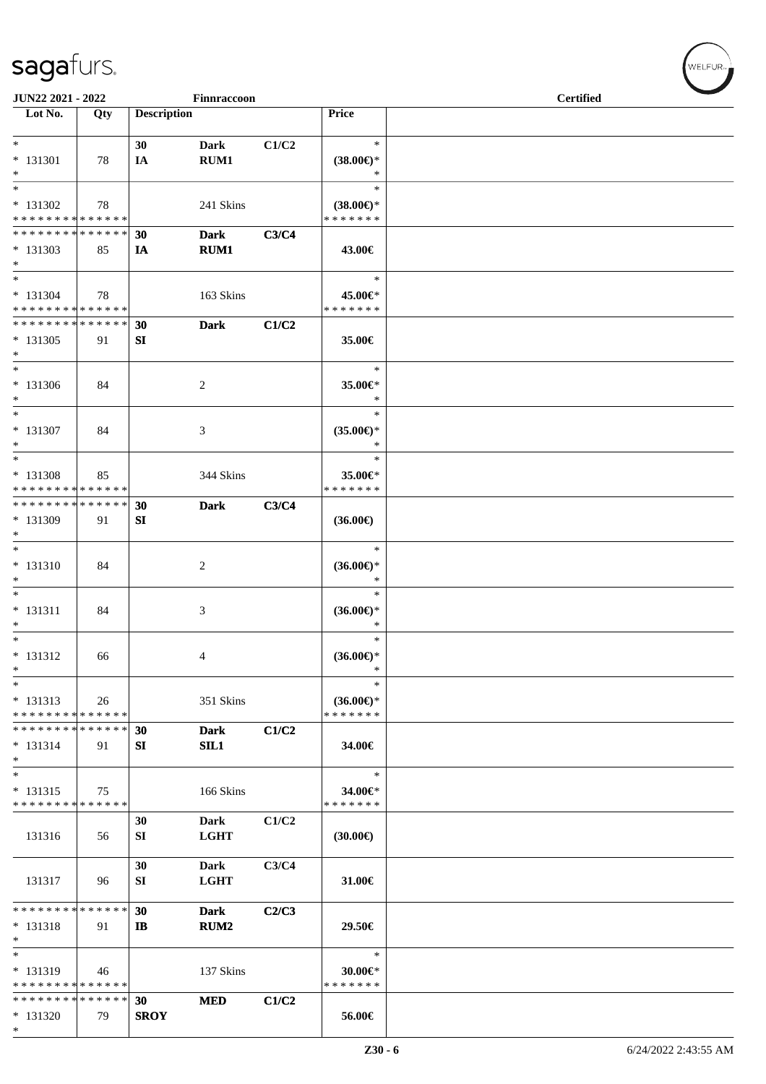| JUN22 2021 - 2022                                                        |                   |                    | Finnraccoon                |       |                                                | <b>Certified</b> |  |  |  |
|--------------------------------------------------------------------------|-------------------|--------------------|----------------------------|-------|------------------------------------------------|------------------|--|--|--|
| Lot No.                                                                  | Qty               | <b>Description</b> |                            |       | Price                                          |                  |  |  |  |
| $*$<br>* 131301<br>$*$                                                   | 78                | 30<br>IA           | <b>Dark</b><br>RUM1        | C1/C2 | $\ast$<br>$(38.00\epsilon)$ *<br>$\ast$        |                  |  |  |  |
| $*$<br>$* 131302$<br>* * * * * * * * * * * * * *                         | 78                |                    | 241 Skins                  |       | $\ast$<br>$(38.00\epsilon)$ *<br>* * * * * * * |                  |  |  |  |
| * * * * * * * * * * * * * *<br>$*131303$<br>$*$                          | 85                | 30<br>IA           | <b>Dark</b><br>RUM1        | C3/C4 | 43.00€                                         |                  |  |  |  |
| $*$<br>$* 131304$<br>* * * * * * * * * * * * * * *                       | 78                |                    | 163 Skins                  |       | $\ast$<br>45.00€*<br>* * * * * * *             |                  |  |  |  |
| * * * * * * * * * * * * * *<br>$*131305$<br>$*$                          | 91                | 30<br>SI           | <b>Dark</b>                | C1/C2 | 35.00€                                         |                  |  |  |  |
| $*$<br>$* 131306$<br>$*$<br>$*$                                          | 84                |                    | 2                          |       | $\ast$<br>35.00€*<br>$\ast$<br>$\ast$          |                  |  |  |  |
| * 131307<br>$*$<br>$\ast$                                                | 84                |                    | 3                          |       | $(35.00\epsilon)$ *<br>$\ast$<br>$\ast$        |                  |  |  |  |
| * 131308<br>* * * * * * * * * * * * * *<br>* * * * * * * * * * * * * * * | 85                |                    | 344 Skins                  |       | 35.00€*<br>* * * * * * *                       |                  |  |  |  |
| * 131309<br>$*$<br>$*$                                                   | 91                | 30<br>SI           | <b>Dark</b>                | C3/C4 | $(36.00\epsilon)$<br>$\ast$                    |                  |  |  |  |
| $* 131310$<br>$*$<br>$*$                                                 | 84                |                    | 2                          |       | $(36.00\epsilon)$ *<br>$\ast$<br>$\ast$        |                  |  |  |  |
| $* 131311$<br>$*$<br>$*$                                                 | 84                |                    | 3                          |       | $(36.00\epsilon)$ *<br>$\ast$                  |                  |  |  |  |
| $* 131312$<br>$\ast$<br>$*$                                              | 66                |                    | 4                          |       | $(36.00\epsilon)$ *<br>$\ast$<br>$\ast$        |                  |  |  |  |
| $* 131313$<br>* * * * * * * * * * * * * *<br>* * * * * * * *             | 26<br>* * * * * * | 30                 | 351 Skins<br><b>Dark</b>   | C1/C2 | $(36.00\epsilon)$ *<br>* * * * * * *           |                  |  |  |  |
| $* 131314$<br>$*$<br>$*$                                                 | 91                | SI                 | SL1                        |       | 34.00€<br>$\ast$                               |                  |  |  |  |
| $* 131315$<br>* * * * * * * * * * * * * *                                | 75                | 30                 | 166 Skins<br>Dark          | C1/C2 | 34.00€*<br>* * * * * * *                       |                  |  |  |  |
| 131316                                                                   | 56                | SI<br>30           | <b>LGHT</b><br><b>Dark</b> | C3/C4 | $(30.00\epsilon)$                              |                  |  |  |  |
| 131317<br>* * * * * * * * * * * * * *                                    | 96                | SI<br>30           | <b>LGHT</b><br><b>Dark</b> | C2/C3 | 31.00€                                         |                  |  |  |  |
| $* 131318$<br>$*$<br>$*$                                                 | 91                | $\mathbf{I}$       | <b>RUM2</b>                |       | 29.50€<br>$\ast$                               |                  |  |  |  |
| * 131319<br>* * * * * * * * * * * * * *<br>* * * * * * * * * * * * * *   | 46                | 30                 | 137 Skins<br><b>MED</b>    | C1/C2 | $30.00 \in$ *<br>* * * * * * *                 |                  |  |  |  |
| $*131320$<br>$*$                                                         | 79                | <b>SROY</b>        |                            |       | 56.00€                                         |                  |  |  |  |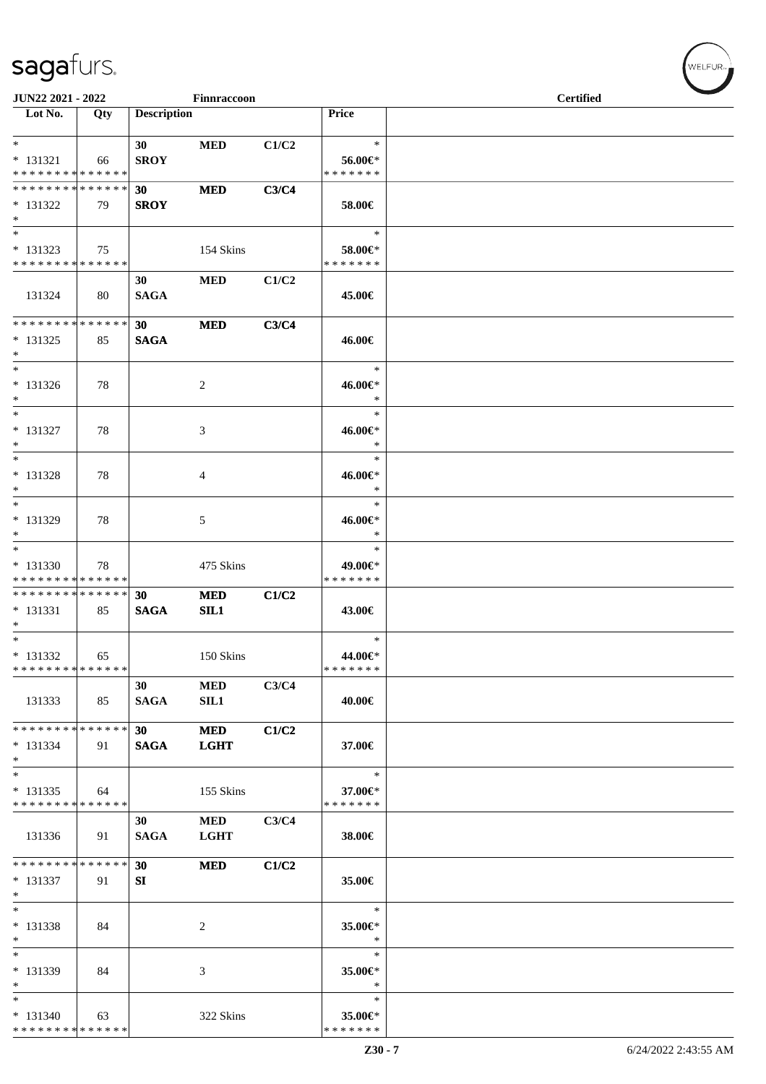| JUN22 2021 - 2022                                         |     |                                | $\ensuremath{\mathsf{Finnracoon}}$ |       |                                       | <b>Certified</b> |  |  |
|-----------------------------------------------------------|-----|--------------------------------|------------------------------------|-------|---------------------------------------|------------------|--|--|
| $\overline{\phantom{1}}$ Lot No.                          | Qty | <b>Description</b>             |                                    |       | Price                                 |                  |  |  |
| $*$<br>$* 131321$<br>* * * * * * * * * * * * * *          | 66  | 30 <sup>1</sup><br><b>SROY</b> | <b>MED</b>                         | C1/C2 | $\ast$<br>56.00€*<br>* * * * * * *    |                  |  |  |
| * * * * * * * * * * * * * *<br>* 131322<br>$*$            | 79  | 30<br><b>SROY</b>              | <b>MED</b>                         | C3/C4 | 58.00€                                |                  |  |  |
| $*$<br>$* 131323$<br>* * * * * * * * * * * * * * *        | 75  |                                | 154 Skins                          |       | $\ast$<br>58.00€*<br>* * * * * * *    |                  |  |  |
| 131324                                                    | 80  | 30<br><b>SAGA</b>              | <b>MED</b>                         | C1/C2 | 45.00€                                |                  |  |  |
| * * * * * * * * * * * * * *<br>$* 131325$<br>$*$          | 85  | 30 <sup>°</sup><br><b>SAGA</b> | <b>MED</b>                         | C3/C4 | 46.00€                                |                  |  |  |
| $*$<br>$* 131326$<br>$*$                                  | 78  |                                | 2                                  |       | $\ast$<br>46.00€*<br>$\ast$           |                  |  |  |
| $*$<br>* 131327<br>$*$                                    | 78  |                                | 3                                  |       | $\ast$<br>46.00€*<br>$\ast$           |                  |  |  |
| $*$<br>* 131328<br>$*$<br>$*$                             | 78  |                                | 4                                  |       | $\ast$<br>46.00€*<br>$\ast$           |                  |  |  |
| * 131329<br>$*$<br>$*$                                    | 78  |                                | 5                                  |       | $\ast$<br>46.00€*<br>$\ast$<br>$\ast$ |                  |  |  |
| * 131330<br>* * * * * * * * * * * * * *                   | 78  |                                | 475 Skins                          |       | 49.00€*<br>* * * * * * *              |                  |  |  |
| * * * * * * * * * * * * * * *<br>$* 131331$<br>$*$<br>$*$ | 85  | 30<br><b>SAGA</b>              | <b>MED</b><br>SL1                  | C1/C2 | 43.00€                                |                  |  |  |
| * 131332<br>* * * * * * * * * * * * * *                   | 65  |                                | 150 Skins                          |       | $\ast$<br>44.00€*<br>*******          |                  |  |  |
| 131333                                                    | 85  | 30<br><b>SAGA</b>              | <b>MED</b><br>SL1                  | C3/C4 | 40.00€                                |                  |  |  |
| ******** <mark>******</mark><br>$* 131334$<br>$*$         | 91  | 30 <sup>1</sup><br><b>SAGA</b> | <b>MED</b><br><b>LGHT</b>          | C1/C2 | 37.00€                                |                  |  |  |
| $*$<br>$*131335$<br>* * * * * * * * * * * * * *           | 64  |                                | 155 Skins                          |       | $\ast$<br>37.00€*<br>* * * * * * *    |                  |  |  |
| 131336                                                    | 91  | 30<br><b>SAGA</b>              | <b>MED</b><br><b>LGHT</b>          | C3/C4 | 38.00€                                |                  |  |  |
| * * * * * * * * * * * * * * *<br>$* 131337$<br>$*$        | 91  | 30<br>SI                       | <b>MED</b>                         | C1/C2 | 35.00€                                |                  |  |  |
| $*$<br>* 131338<br>$*$                                    | 84  |                                | 2                                  |       | $\ast$<br>35.00€*<br>$\ast$           |                  |  |  |
| $*$<br>* 131339<br>$*$                                    | 84  |                                | 3                                  |       | $\ast$<br>35.00€*<br>$\ast$           |                  |  |  |
| $*$<br>$* 131340$<br>******** <mark>******</mark>         | 63  |                                | 322 Skins                          |       | $\ast$<br>35.00€*<br>* * * * * * *    |                  |  |  |

√<br>WELFUR<sub>™</sub>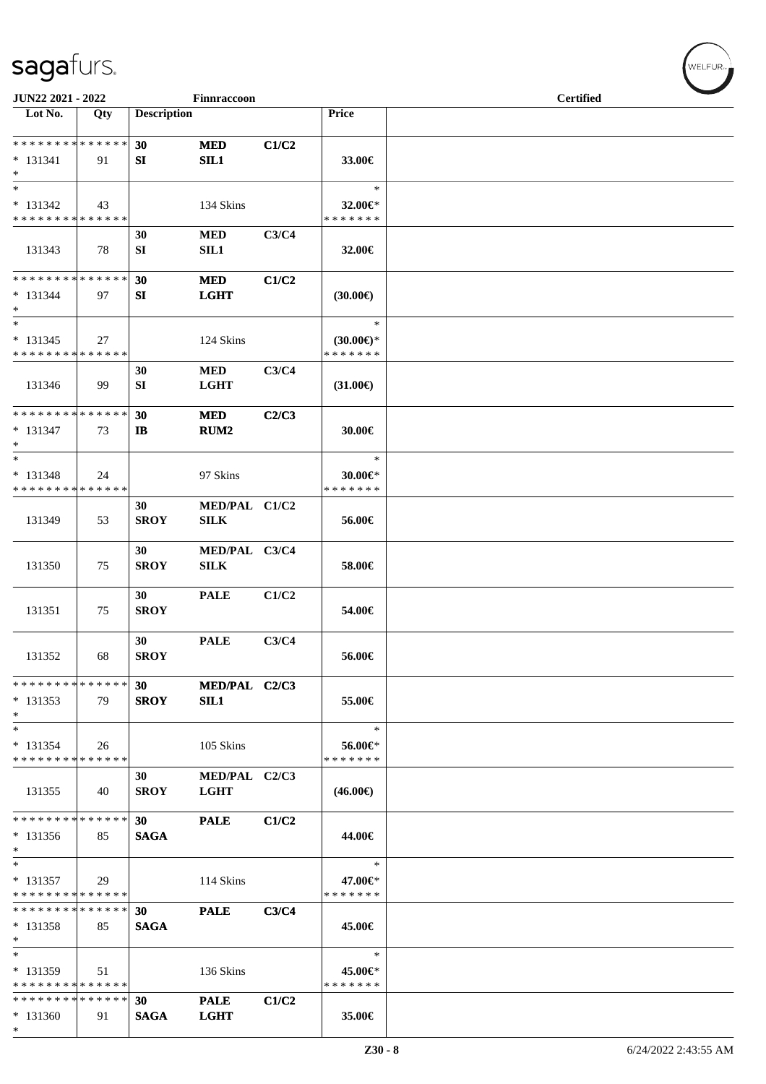| JUN22 2021 - 2022                                    |     |                    | Finnraccoon                    |       |                                                | <b>Certified</b> |
|------------------------------------------------------|-----|--------------------|--------------------------------|-------|------------------------------------------------|------------------|
| Lot No.                                              | Qty | <b>Description</b> |                                |       | <b>Price</b>                                   |                  |
| * * * * * * * * * * * * * *<br>$* 131341$<br>$\ast$  | 91  | 30<br>SI           | <b>MED</b><br>SIL1             | C1/C2 | 33.00€                                         |                  |
| $\ast$<br>$* 131342$<br>* * * * * * * * * * * * * *  | 43  |                    | 134 Skins                      |       | $\ast$<br>32.00€*<br>* * * * * * *             |                  |
| 131343                                               | 78  | 30<br>SI           | <b>MED</b><br>SIL1             | C3/C4 | 32.00€                                         |                  |
| ******** <mark>******</mark><br>$* 131344$<br>$\ast$ | 97  | 30<br>SI           | <b>MED</b><br><b>LGHT</b>      | C1/C2 | (30.00)                                        |                  |
| $\ast$<br>$* 131345$<br>* * * * * * * * * * * * * *  | 27  |                    | 124 Skins                      |       | $\ast$<br>$(30.00\epsilon)$ *<br>* * * * * * * |                  |
| 131346                                               | 99  | 30<br>SI           | $\bf MED$<br><b>LGHT</b>       | C3/C4 | $(31.00\epsilon)$                              |                  |
| **************<br>$* 131347$<br>$\ast$               | 73  | 30<br>$\mathbf{I}$ | <b>MED</b><br>RUM <sub>2</sub> | C2/C3 | 30.00€                                         |                  |
| $\ast$<br>$* 131348$<br>* * * * * * * * * * * * * *  | 24  |                    | 97 Skins                       |       | $\ast$<br>30.00€*<br>* * * * * * *             |                  |
| 131349                                               | 53  | 30<br><b>SROY</b>  | MED/PAL C1/C2<br><b>SILK</b>   |       | 56.00€                                         |                  |
| 131350                                               | 75  | 30<br><b>SROY</b>  | MED/PAL C3/C4<br><b>SILK</b>   |       | 58.00€                                         |                  |
| 131351                                               | 75  | 30<br><b>SROY</b>  | <b>PALE</b>                    | C1/C2 | 54.00€                                         |                  |
| 131352                                               | 68  | 30<br><b>SROY</b>  | <b>PALE</b>                    | C3/C4 | 56.00€                                         |                  |
| * * * * * * * * * * * * * *<br>$* 131353$<br>$\ast$  | 79  | 30<br><b>SROY</b>  | MED/PAL C2/C3<br>SIL1          |       | 55.00€                                         |                  |
| $\ast$<br>$* 131354$<br>* * * * * * * * * * * * * *  | 26  |                    | 105 Skins                      |       | $\ast$<br>56.00€*<br>* * * * * * *             |                  |
| 131355                                               | 40  | 30<br><b>SROY</b>  | MED/PAL C2/C3<br><b>LGHT</b>   |       | $(46.00\epsilon)$                              |                  |
| * * * * * * * * * * * * * *<br>$* 131356$<br>$*$     | 85  | 30<br><b>SAGA</b>  | <b>PALE</b>                    | C1/C2 | 44.00€                                         |                  |
| $\ast$<br>$* 131357$<br>* * * * * * * * * * * * * *  | 29  |                    | 114 Skins                      |       | $\ast$<br>47.00€*<br>* * * * * * *             |                  |
| * * * * * * * * * * * * * *<br>$* 131358$<br>$\ast$  | 85  | 30<br><b>SAGA</b>  | <b>PALE</b>                    | C3/C4 | 45.00€                                         |                  |
| $\ast$<br>* 131359<br>* * * * * * * * * * * * * *    | 51  |                    | 136 Skins                      |       | $\ast$<br>45.00€*<br>* * * * * * *             |                  |
| * * * * * * * * * * * * * *<br>$* 131360$<br>$\ast$  | 91  | 30<br><b>SAGA</b>  | <b>PALE</b><br><b>LGHT</b>     | C1/C2 | 35.00€                                         |                  |

WELFUR-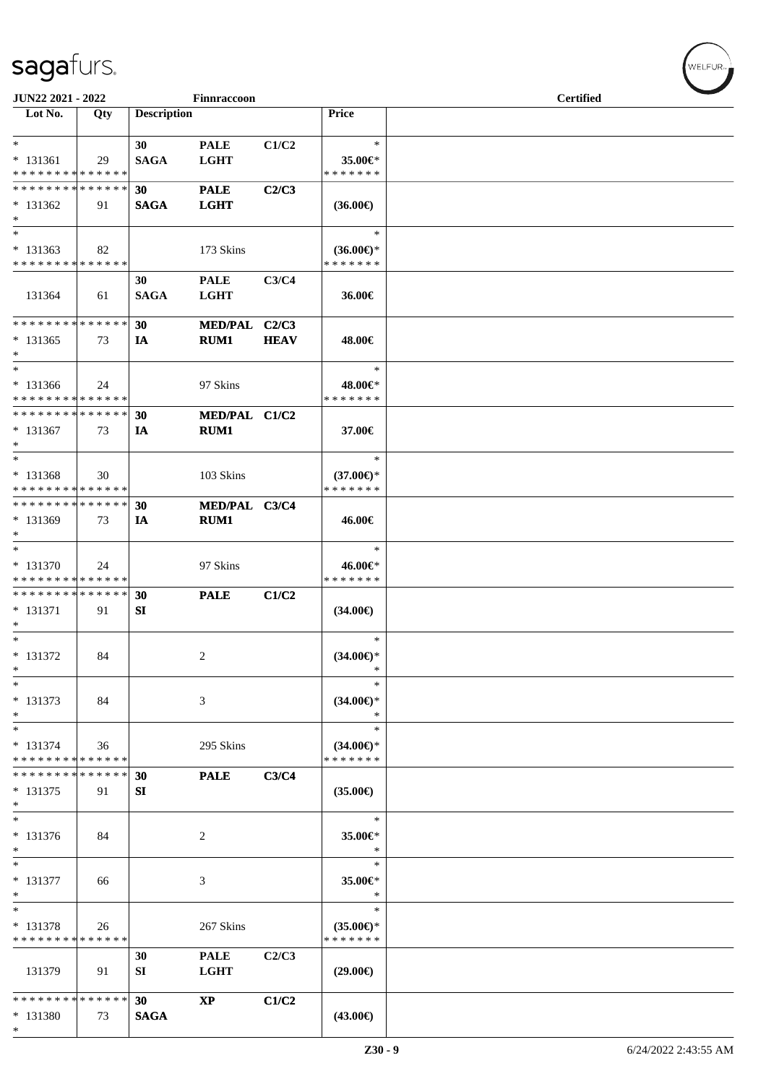| JUN22 2021 - 2022             |     |                    | Finnraccoon                |             |                     | <b>Certified</b> |
|-------------------------------|-----|--------------------|----------------------------|-------------|---------------------|------------------|
| Lot No.                       | Qty | <b>Description</b> |                            |             | Price               |                  |
| $*$                           |     |                    |                            |             | $\ast$              |                  |
| $* 131361$                    | 29  | 30<br><b>SAGA</b>  | <b>PALE</b><br><b>LGHT</b> | C1/C2       | 35.00€*             |                  |
| * * * * * * * * * * * * * *   |     |                    |                            |             | * * * * * * *       |                  |
| * * * * * * * * * * * * * *   |     | 30                 | <b>PALE</b>                | C2/C3       |                     |                  |
| $* 131362$                    | 91  | <b>SAGA</b>        | <b>LGHT</b>                |             | $(36.00\epsilon)$   |                  |
| $*$                           |     |                    |                            |             |                     |                  |
| $*$                           |     |                    |                            |             | $\ast$              |                  |
| $* 131363$                    | 82  |                    | 173 Skins                  |             | $(36.00€)$ *        |                  |
| * * * * * * * * * * * * * *   |     |                    |                            |             | * * * * * * *       |                  |
|                               |     | 30                 | <b>PALE</b>                | C3/C4       |                     |                  |
| 131364                        | 61  | <b>SAGA</b>        | <b>LGHT</b>                |             | 36.00€              |                  |
|                               |     |                    |                            |             |                     |                  |
| * * * * * * * * * * * * * * * |     | 30                 | MED/PAL C2/C3              |             |                     |                  |
| $* 131365$<br>$*$             | 73  | <b>IA</b>          | RUM1                       | <b>HEAV</b> | 48.00€              |                  |
| $\ast$                        |     |                    |                            |             | $\ast$              |                  |
| $* 131366$                    | 24  |                    | 97 Skins                   |             | 48.00€*             |                  |
| * * * * * * * * * * * * * *   |     |                    |                            |             | * * * * * * *       |                  |
| * * * * * * * * * * * * * *   |     | 30                 | MED/PAL C1/C2              |             |                     |                  |
| $* 131367$                    | 73  | IA                 | RUM1                       |             | 37.00€              |                  |
| $\ast$                        |     |                    |                            |             |                     |                  |
| $*$                           |     |                    |                            |             | $\ast$              |                  |
| $* 131368$                    | 30  |                    | 103 Skins                  |             | $(37.00\epsilon)$ * |                  |
| * * * * * * * * * * * * * *   |     |                    |                            |             | * * * * * * *       |                  |
| * * * * * * * * * * * * * *   |     | 30                 | MED/PAL C3/C4              |             |                     |                  |
| $*131369$                     | 73  | IA                 | <b>RUM1</b>                |             | 46.00€              |                  |
| $*$<br>$*$                    |     |                    |                            |             | $\ast$              |                  |
| * 131370                      | 24  |                    | 97 Skins                   |             | 46.00€*             |                  |
| * * * * * * * * * * * * * *   |     |                    |                            |             | * * * * * * *       |                  |
| * * * * * * * * * * * * * *   |     | 30                 | <b>PALE</b>                | C1/C2       |                     |                  |
| $* 131371$                    | 91  | SI                 |                            |             | $(34.00\epsilon)$   |                  |
| $\ast$                        |     |                    |                            |             |                     |                  |
| $*$                           |     |                    |                            |             | $\ast$              |                  |
| * 131372                      | 84  |                    | 2                          |             | $(34.00\epsilon)$ * |                  |
| *                             |     |                    |                            |             | $\ast$              |                  |
| $\ast$                        |     |                    |                            |             | $\ast$              |                  |
| * 131373                      | 84  |                    | 3                          |             | $(34.00\epsilon)$ * |                  |
| $\ast$<br>$\ast$              |     |                    |                            |             | $\ast$<br>$\ast$    |                  |
| * 131374                      | 36  |                    | 295 Skins                  |             | $(34.00\epsilon)$ * |                  |
| * * * * * * * * * * * * * *   |     |                    |                            |             | * * * * * * *       |                  |
| * * * * * * * * * * * * * *   |     | 30                 | <b>PALE</b>                | C3/C4       |                     |                  |
| * 131375                      | 91  | SI                 |                            |             | $(35.00\epsilon)$   |                  |
| $\ast$                        |     |                    |                            |             |                     |                  |
| $\ast$                        |     |                    |                            |             | $\ast$              |                  |
| * 131376                      | 84  |                    | 2                          |             | 35.00€*             |                  |
| $\ast$                        |     |                    |                            |             | $\ast$              |                  |
| $\ast$                        |     |                    |                            |             | $\ast$              |                  |
| $* 131377$                    | 66  |                    | 3                          |             | 35.00€*<br>$\ast$   |                  |
| $\ast$<br>$\ast$              |     |                    |                            |             | $\ast$              |                  |
| * 131378                      | 26  |                    | 267 Skins                  |             | $(35.00\epsilon)$ * |                  |
| * * * * * * * * * * * * * *   |     |                    |                            |             | * * * * * * *       |                  |
|                               |     | 30                 | <b>PALE</b>                | C2/C3       |                     |                  |
| 131379                        | 91  | SI                 | <b>LGHT</b>                |             | $(29.00\epsilon)$   |                  |
|                               |     |                    |                            |             |                     |                  |
| * * * * * * * * * * * * * *   |     | 30                 | $\bold{XP}$                | C1/C2       |                     |                  |
| * 131380                      | 73  | <b>SAGA</b>        |                            |             | $(43.00\epsilon)$   |                  |
| $*$                           |     |                    |                            |             |                     |                  |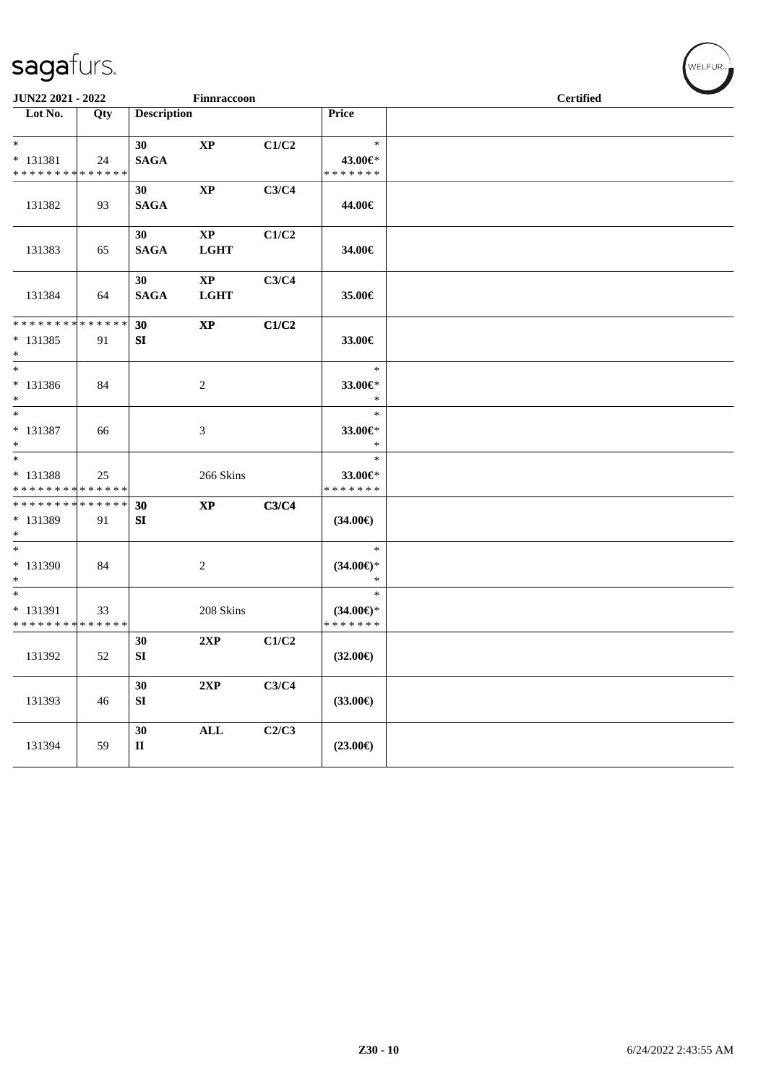| JUN22 2021 - 2022                                                                        |     |                    | Finnraccoon                           |       |                                                | <b>Certified</b> |
|------------------------------------------------------------------------------------------|-----|--------------------|---------------------------------------|-------|------------------------------------------------|------------------|
| Lot No.                                                                                  | Qty | <b>Description</b> |                                       |       | Price                                          |                  |
| $*$                                                                                      |     | 30                 | $\mathbf{X}\mathbf{P}$                | C1/C2 | $\ast$                                         |                  |
| $* 131381$                                                                               | 24  | <b>SAGA</b>        |                                       |       | 43.00€*                                        |                  |
| * * * * * * * * * * * * * *                                                              |     |                    |                                       |       | * * * * * * *                                  |                  |
| 131382                                                                                   | 93  | 30<br><b>SAGA</b>  | $\mathbf{X}\mathbf{P}$                | C3/C4 | 44.00€                                         |                  |
| 131383                                                                                   | 65  | 30<br><b>SAGA</b>  | $\mathbf{X}\mathbf{P}$<br><b>LGHT</b> | C1/C2 | 34.00€                                         |                  |
| 131384                                                                                   | 64  | 30<br><b>SAGA</b>  | XP<br><b>LGHT</b>                     | C3/C4 | 35.00€                                         |                  |
| * * * * * * * * * * * * * *                                                              |     | 30                 | <b>XP</b>                             | C1/C2 |                                                |                  |
| $* 131385$<br>$*$                                                                        | 91  | SI                 |                                       |       | 33.00€                                         |                  |
| $*$                                                                                      |     |                    |                                       |       | $\ast$                                         |                  |
| * 131386<br>$*$                                                                          | 84  |                    | $\overline{c}$                        |       | 33.00€*<br>$\ast$                              |                  |
| $*$<br>* 131387                                                                          | 66  |                    | 3                                     |       | $\ast$<br>33.00 $\epsilon$ *                   |                  |
| $*$<br>$*$                                                                               |     |                    |                                       |       | $\ast$                                         |                  |
| * 131388                                                                                 | 25  |                    | 266 Skins                             |       | $\ast$<br>33.00€*                              |                  |
| * * * * * * * * <mark>* * * * * * *</mark><br>* * * * * * * * <mark>* * * * * * *</mark> |     | 30                 | $\mathbf{XP}$                         | C3/C4 | * * * * * * *                                  |                  |
| * 131389<br>$*$                                                                          | 91  | SI                 |                                       |       | (34.00€)                                       |                  |
| $*$<br>* 131390<br>$\ast$                                                                | 84  |                    | 2                                     |       | $\ast$<br>$(34.00\epsilon)$ *<br>$\ast$        |                  |
| $*$<br>* 131391<br>* * * * * * * * * * * * * *                                           | 33  |                    | 208 Skins                             |       | $\ast$<br>$(34.00\epsilon)$ *<br>* * * * * * * |                  |
| 131392                                                                                   | 52  | 30<br>${\bf SI}$   | 2XP                                   | C1/C2 | $(32.00\epsilon)$                              |                  |
| 131393                                                                                   | 46  | 30<br>${\bf SI}$   | 2XP                                   | C3/C4 | $(33.00\epsilon)$                              |                  |
| 131394                                                                                   | 59  | 30<br>$\mathbf{I}$ | $\mathbf{ALL}$                        | C2/C3 | $(23.00\epsilon)$                              |                  |

WELFUR-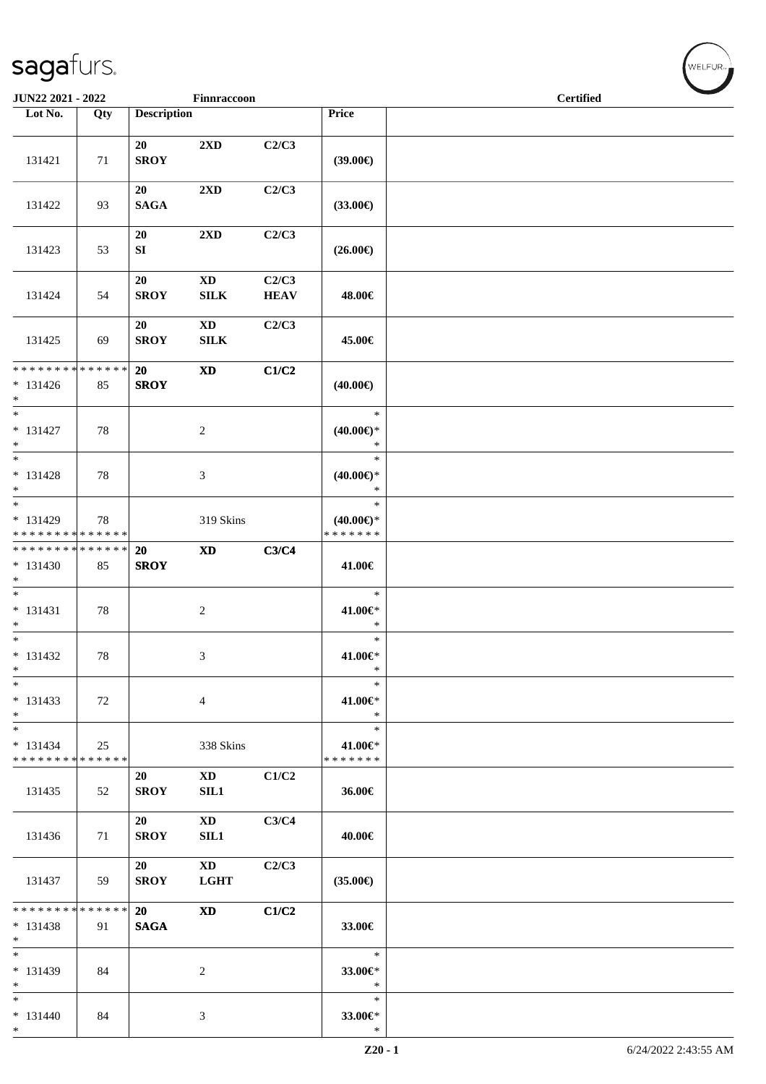|                                                     | JUN22 2021 - 2022<br>Finnraccoon |                    |                                        |                      |                                                | <b>Certified</b> |  |  |
|-----------------------------------------------------|----------------------------------|--------------------|----------------------------------------|----------------------|------------------------------------------------|------------------|--|--|
| Lot No.                                             | Qty                              | <b>Description</b> |                                        |                      | Price                                          |                  |  |  |
| 131421                                              | 71                               | 20<br><b>SROY</b>  | $2\mathbf{X}\mathbf{D}$                | C2/C3                | (39.00)                                        |                  |  |  |
| 131422                                              | 93                               | 20<br><b>SAGA</b>  | $2{\bf X}{\bf D}$                      | C2/C3                | $(33.00\epsilon)$                              |                  |  |  |
| 131423                                              | 53                               | 20<br>SI           | $2\mathbf{X}\mathbf{D}$                | C2/C3                | $(26.00\epsilon)$                              |                  |  |  |
| 131424                                              | 54                               | 20<br><b>SROY</b>  | $\mathbf{X}\mathbf{D}$<br>${\bf SILK}$ | C2/C3<br><b>HEAV</b> | 48.00€                                         |                  |  |  |
| 131425                                              | 69                               | 20<br><b>SROY</b>  | $\mathbf{X}\mathbf{D}$<br>${\bf SILK}$ | C2/C3                | 45.00€                                         |                  |  |  |
| ******** <mark>******</mark><br>$* 131426$<br>$*$   | 85                               | 20<br><b>SROY</b>  | <b>XD</b>                              | C1/C2                | $(40.00\epsilon)$                              |                  |  |  |
| $\overline{\phantom{0}}$<br>$* 131427$<br>$*$       | 78                               |                    | $\overline{c}$                         |                      | $\ast$<br>$(40.00\epsilon)$ *<br>$\ast$        |                  |  |  |
| $\overline{\ }$<br>$* 131428$<br>$\ast$             | 78                               |                    | 3                                      |                      | $\ast$<br>$(40.00\epsilon)$ *<br>$\ast$        |                  |  |  |
| $*$<br>* 131429<br>* * * * * * * * * * * * * *      | 78                               |                    | 319 Skins                              |                      | $\ast$<br>$(40.00\epsilon)$ *<br>* * * * * * * |                  |  |  |
| ******** <mark>******</mark><br>* 131430<br>$*$     | 85                               | 20<br><b>SROY</b>  | $\mathbf{X}\mathbf{D}$                 | C3/C4                | 41.00€                                         |                  |  |  |
| $\overline{\phantom{0}}$<br>$* 131431$<br>$*$       | 78                               |                    | $\boldsymbol{2}$                       |                      | $\ast$<br>41.00€*<br>$\ast$                    |                  |  |  |
| $*$<br>$* 131432$<br>$\ast$                         | 78                               |                    | 3                                      |                      | $\ast$<br>41.00€*<br>$\ast$                    |                  |  |  |
| $*$<br>* 131433<br>$*$                              | 72                               |                    | 4                                      |                      | $\ast$<br>41.00€*<br>$\ast$                    |                  |  |  |
| $\ast$<br>$* 131434$<br>* * * * * * * * * * * * * * | 25                               |                    | 338 Skins                              |                      | $\ast$<br>41.00€*<br>* * * * * * *             |                  |  |  |
| 131435                                              | 52                               | 20<br><b>SROY</b>  | XD<br>SIL1                             | C1/C2                | 36.00€                                         |                  |  |  |
| 131436                                              | 71                               | 20<br><b>SROY</b>  | <b>XD</b><br>SL1                       | C3/C4                | 40.00€                                         |                  |  |  |
| 131437                                              | 59                               | 20<br><b>SROY</b>  | $\mathbf{X}\mathbf{D}$<br><b>LGHT</b>  | C2/C3                | $(35.00\epsilon)$                              |                  |  |  |
| * * * * * * * * * * * * * *<br>$* 131438$<br>$*$    | 91                               | 20<br><b>SAGA</b>  | $\boldsymbol{\mathrm{XD}}$             | C1/C2                | 33.00€                                         |                  |  |  |
| $*$<br>* 131439<br>$*$                              | 84                               |                    | $\overline{c}$                         |                      | $\ast$<br>33.00€*<br>$\ast$                    |                  |  |  |
| $*$<br>$* 131440$<br>$*$                            | 84                               |                    | 3                                      |                      | $\ast$<br>33.00€*<br>$\ast$                    |                  |  |  |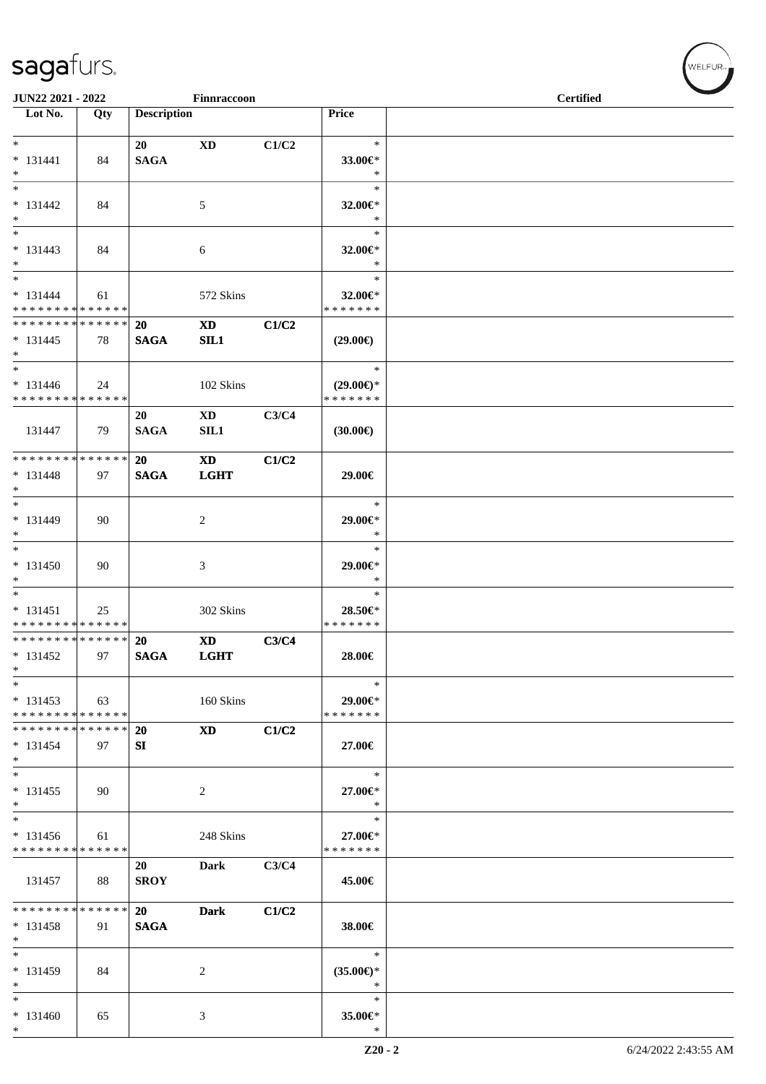| JUN22 2021 - 2022<br>Finnraccoon                               |     |                          |                                                                                                                                                                                                                                |       |                                         | <b>Certified</b> |
|----------------------------------------------------------------|-----|--------------------------|--------------------------------------------------------------------------------------------------------------------------------------------------------------------------------------------------------------------------------|-------|-----------------------------------------|------------------|
| $\overline{\phantom{1}}$ Lot No.                               | Qty | <b>Description</b>       |                                                                                                                                                                                                                                |       | Price                                   |                  |
| $*$<br>$* 131441$                                              | 84  | 20<br><b>SAGA</b>        | <b>XD</b>                                                                                                                                                                                                                      | C1/C2 | $\ast$<br>33.00€*                       |                  |
| $*$<br>$\overline{\phantom{0}}$                                |     |                          |                                                                                                                                                                                                                                |       | $\ast$<br>$\ast$                        |                  |
| $* 131442$<br>$*$                                              | 84  |                          | 5                                                                                                                                                                                                                              |       | $32.00 \in$ *<br>$\ast$                 |                  |
| $\overline{\phantom{0}}$<br>$* 131443$<br>$*$                  | 84  |                          | 6                                                                                                                                                                                                                              |       | $\ast$<br>32.00€*<br>$\ast$             |                  |
| $*$<br>$* 131444$                                              | 61  |                          | 572 Skins                                                                                                                                                                                                                      |       | $\ast$<br>32.00€*                       |                  |
| * * * * * * * * * * * * * * *<br>* * * * * * * * * * * * * * * |     |                          |                                                                                                                                                                                                                                |       | * * * * * * *                           |                  |
| $* 131445$<br>$*$                                              | 78  | <b>20</b><br><b>SAGA</b> | <b>XD</b><br>SL1                                                                                                                                                                                                               | C1/C2 | $(29.00\epsilon)$                       |                  |
|                                                                |     |                          |                                                                                                                                                                                                                                |       | $\ast$                                  |                  |
| $* 131446$<br>* * * * * * * * * * * * * *                      | 24  |                          | 102 Skins                                                                                                                                                                                                                      |       | $(29.00\epsilon)$ *<br>* * * * * * *    |                  |
| 131447                                                         | 79  | 20<br><b>SAGA</b>        | $\mathbf{X}\mathbf{D}$<br>SIL1                                                                                                                                                                                                 | C3/C4 | $(30.00\epsilon)$                       |                  |
| * * * * * * * * * * * * * * *                                  |     | 20                       | <b>XD</b>                                                                                                                                                                                                                      | C1/C2 |                                         |                  |
| $* 131448$<br>$*$                                              | 97  | <b>SAGA</b>              | <b>LGHT</b>                                                                                                                                                                                                                    |       | 29.00€                                  |                  |
| $*$<br>* 131449<br>$*$                                         | 90  |                          | 2                                                                                                                                                                                                                              |       | $\ast$<br>29.00€*<br>$\ast$             |                  |
| $*$<br>$* 131450$<br>$*$                                       | 90  |                          | 3                                                                                                                                                                                                                              |       | $\ast$<br>29.00€*<br>$\ast$             |                  |
| $*$<br>$* 131451$<br>* * * * * * * * * * * * * *               | 25  |                          | 302 Skins                                                                                                                                                                                                                      |       | $\ast$<br>28.50€*<br>* * * * * * *      |                  |
| * * * * * * * * * * * * * * *                                  |     | <b>20</b>                | XD and the set of the set of the set of the set of the set of the set of the set of the set of the set of the set of the set of the set of the set of the set of the set of the set of the set of the set of the set of the se | C3/C4 |                                         |                  |
| $* 131452$<br>$\ast$                                           | 97  | <b>SAGA</b>              | <b>LGHT</b>                                                                                                                                                                                                                    |       | 28.00€                                  |                  |
| $\ast$<br>$* 131453$<br>* * * * * * * * * * * * * *            | 63  |                          | 160 Skins                                                                                                                                                                                                                      |       | $\ast$<br>29.00€*<br>* * * * * * *      |                  |
| * * * * * * * * * * * * * *                                    |     | 20                       | XD                                                                                                                                                                                                                             | C1/C2 |                                         |                  |
| $* 131454$<br>$*$                                              | 97  | SI                       |                                                                                                                                                                                                                                |       | 27.00€                                  |                  |
| $*$<br>$* 131455$<br>$*$                                       | 90  |                          | 2                                                                                                                                                                                                                              |       | $\ast$<br>27.00€*<br>∗                  |                  |
| $\ast$                                                         |     |                          |                                                                                                                                                                                                                                |       | $\ast$                                  |                  |
| $* 131456$<br>* * * * * * * * * * * * * *                      | 61  |                          | 248 Skins                                                                                                                                                                                                                      |       | 27.00€*<br>* * * * * * *                |                  |
| 131457                                                         | 88  | 20<br><b>SROY</b>        | Dark                                                                                                                                                                                                                           | C3/C4 | 45.00€                                  |                  |
| * * * * * * * * * * * * * *                                    |     | 20                       | <b>Dark</b>                                                                                                                                                                                                                    | C1/C2 |                                         |                  |
| $* 131458$<br>$*$                                              | 91  | <b>SAGA</b>              |                                                                                                                                                                                                                                |       | 38.00€                                  |                  |
| $\ast$<br>* 131459<br>$*$                                      | 84  |                          | $\overline{c}$                                                                                                                                                                                                                 |       | $\ast$<br>$(35.00\epsilon)$ *<br>$\ast$ |                  |
| $*$<br>$* 131460$<br>$\ast$                                    | 65  |                          | 3                                                                                                                                                                                                                              |       | $\ast$<br>35.00€*<br>$\ast$             |                  |

 $w$ elfur<sub>»</sub>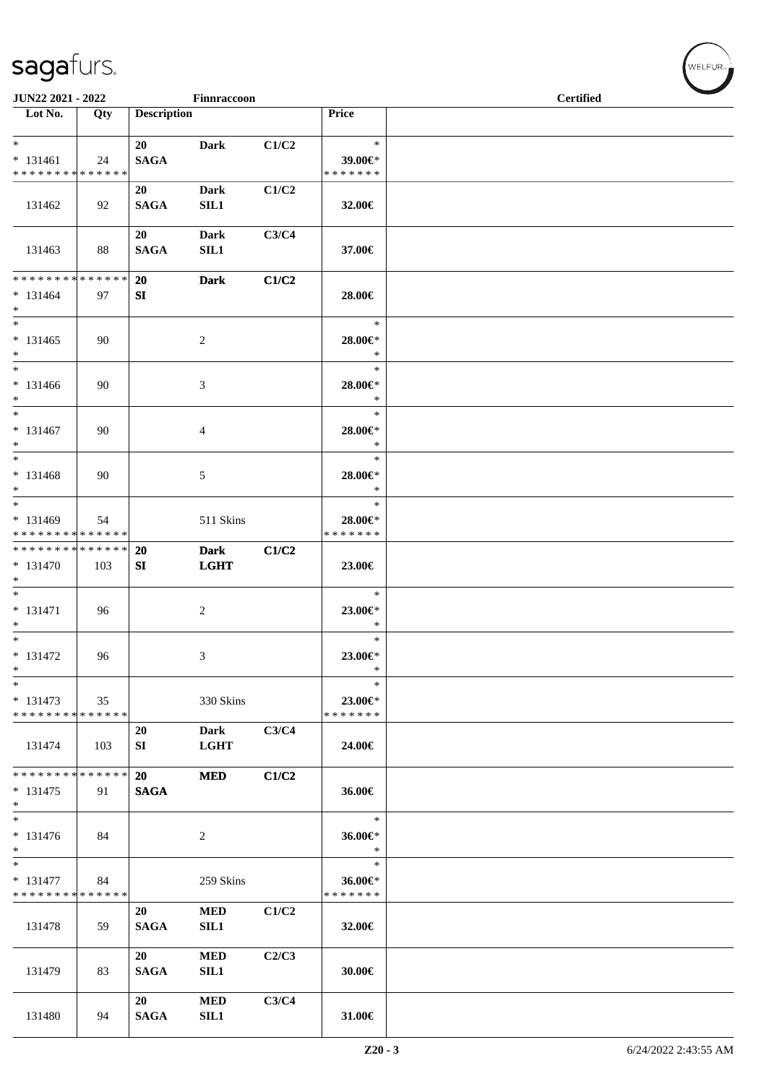| JUN22 2021 - 2022                                |                   |                    | Finnraccoon                |       |                                       | <b>Certified</b> |  |  |
|--------------------------------------------------|-------------------|--------------------|----------------------------|-------|---------------------------------------|------------------|--|--|
| $\overline{\phantom{1}}$ Lot No.                 | Qty               | <b>Description</b> |                            |       | Price                                 |                  |  |  |
| $*$<br>$* 131461$<br>* * * * * * * * * * * * * * | 24                | 20<br><b>SAGA</b>  | <b>Dark</b>                | C1/C2 | $\ast$<br>39.00€*<br>* * * * * * *    |                  |  |  |
| 131462                                           | 92                | 20<br><b>SAGA</b>  | <b>Dark</b><br>SL1         | C1/C2 | 32.00€                                |                  |  |  |
| 131463                                           | 88                | 20<br><b>SAGA</b>  | <b>Dark</b><br>SL1         | C3/C4 | 37.00€                                |                  |  |  |
| * * * * * * * * * * * * * *<br>$* 131464$<br>$*$ | 97                | 20<br>SI           | <b>Dark</b>                | C1/C2 | 28.00€                                |                  |  |  |
| $\overline{\ }$<br>$* 131465$<br>$*$             | 90                |                    | $\overline{c}$             |       | $\ast$<br>28.00€*<br>$\ast$           |                  |  |  |
| $*$<br>$* 131466$<br>$*$                         | 90                |                    | $\mathfrak{Z}$             |       | $\ast$<br>28.00€*<br>$\ast$           |                  |  |  |
| $*$<br>$* 131467$<br>$*$                         | 90                |                    | $\overline{4}$             |       | $\ast$<br>28.00€*<br>$\ast$           |                  |  |  |
| $\ast$<br>$* 131468$<br>$*$                      | 90                |                    | 5                          |       | $\ast$<br>28.00€*<br>$\ast$           |                  |  |  |
| $*$<br>* 131469<br>* * * * * * * * * * * * * *   | 54                |                    | 511 Skins                  |       | $\ast$<br>28.00€*<br>* * * * * * *    |                  |  |  |
| * * * * * * * * * * * * * * *<br>* 131470<br>$*$ | 103               | 20<br>SI           | <b>Dark</b><br><b>LGHT</b> | C1/C2 | 23.00€                                |                  |  |  |
| $* 131471$<br>$*$                                | 96                |                    | 2                          |       | $\ast$<br>23.00€*<br>$\ast$           |                  |  |  |
| $*$<br>$* 131472$<br>$\ast$<br>$*$               | 96                |                    | 3                          |       | $\ast$<br>23.00€*<br>$\ast$<br>$\ast$ |                  |  |  |
| $* 131473$<br>* * * * * * * * * * * * * *        | 35                |                    | 330 Skins                  |       | $23.00 \in$ *<br>* * * * * * *        |                  |  |  |
| 131474                                           | 103               | 20<br>SI           | <b>Dark</b><br><b>LGHT</b> | C3/C4 | 24.00€                                |                  |  |  |
| * * * * * * * * * * * * * *<br>$*131475$<br>$*$  | 91                | 20<br><b>SAGA</b>  | <b>MED</b>                 | C1/C2 | 36.00€                                |                  |  |  |
| $*$<br>$* 131476$<br>$\ast$                      | 84                |                    | 2                          |       | $\ast$<br>36.00€*<br>$\ast$           |                  |  |  |
| $\overline{\ast}$<br>* 131477<br>* * * * * * * * | 84<br>* * * * * * |                    | 259 Skins                  |       | $\ast$<br>36.00€*<br>* * * * * * *    |                  |  |  |
| 131478                                           | 59                | 20<br><b>SAGA</b>  | <b>MED</b><br>SIL1         | C1/C2 | 32.00€                                |                  |  |  |
| 131479                                           | 83                | 20<br><b>SAGA</b>  | $\bf MED$<br>SIL1          | C2/C3 | 30.00€                                |                  |  |  |
| 131480                                           | 94                | 20<br><b>SAGA</b>  | <b>MED</b><br>SIL1         | C3/C4 | 31.00€                                |                  |  |  |

WELFUR<sub><sup>N</sub></sub></sub></sup>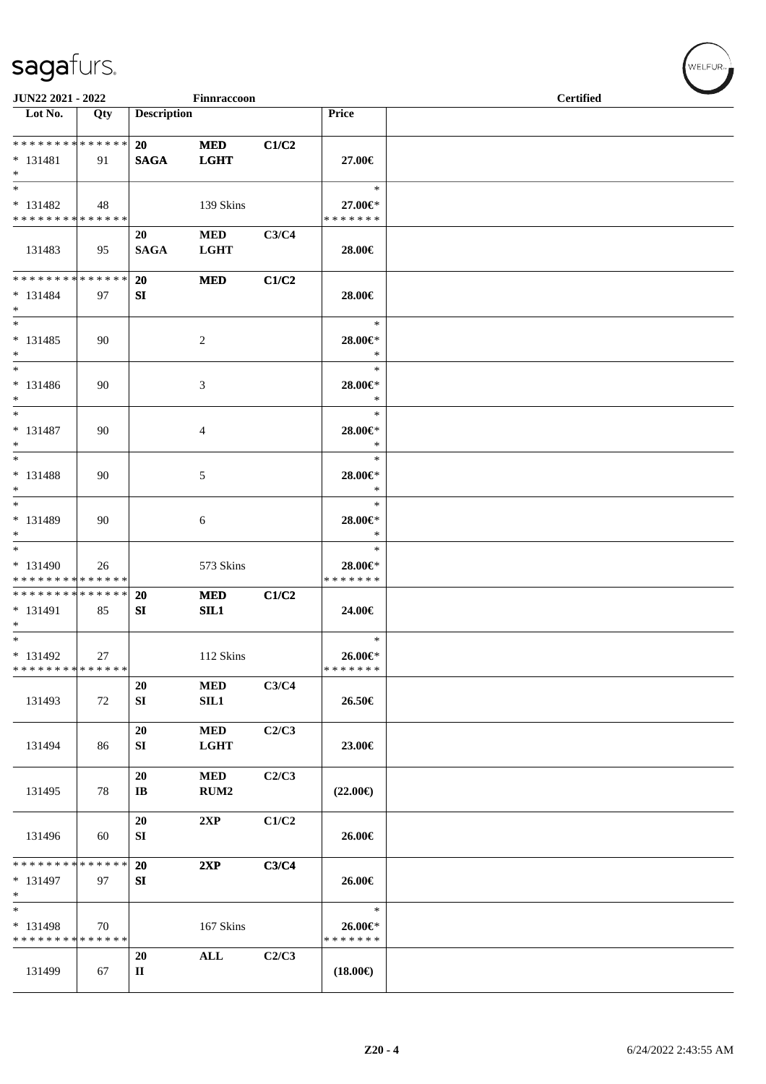| JUN22 2021 - 2022                                   |     |                                     | Finnraccoon               |       |                                        | <b>Certified</b> |  |
|-----------------------------------------------------|-----|-------------------------------------|---------------------------|-------|----------------------------------------|------------------|--|
| $\overline{\phantom{1}}$ Lot No.                    | Qty | <b>Description</b>                  |                           |       | Price                                  |                  |  |
| **************<br>$* 131481$<br>$*$                 | 91  | 20<br><b>SAGA</b>                   | <b>MED</b><br><b>LGHT</b> | C1/C2 | 27.00€                                 |                  |  |
| $\ast$<br>$* 131482$<br>* * * * * * * * * * * * * * | 48  |                                     | 139 Skins                 |       | $\ast$<br>27.00€*<br>* * * * * * *     |                  |  |
| 131483                                              | 95  | 20<br><b>SAGA</b>                   | <b>MED</b><br><b>LGHT</b> | C3/C4 | 28.00€                                 |                  |  |
| **************<br>$* 131484$<br>$*$                 | 97  | 20<br>SI                            | <b>MED</b>                | C1/C2 | 28.00€                                 |                  |  |
| $_{\ast}^{-}$<br>$* 131485$<br>$*$                  | 90  |                                     | $\sqrt{2}$                |       | $\ast$<br>28.00€*<br>$\ast$            |                  |  |
| $\ast$<br>$* 131486$<br>$*$                         | 90  |                                     | 3                         |       | $\ast$<br>28.00€*<br>$\ast$            |                  |  |
| $\ast$<br>$* 131487$<br>$*$                         | 90  |                                     | 4                         |       | $\ast$<br>28.00€*<br>$\ast$            |                  |  |
| $\ast$<br>$* 131488$<br>$*$                         | 90  |                                     | $\mathfrak{S}$            |       | $\ast$<br>28.00€*<br>$\ast$            |                  |  |
| $*$<br>* 131489<br>$\ast$                           | 90  |                                     | 6                         |       | $\ast$<br>28.00€*<br>$\ast$            |                  |  |
| $*$<br>$* 131490$<br>* * * * * * * * * * * * * *    | 26  |                                     | 573 Skins                 |       | $\ast$<br>28.00€*<br>* * * * * * *     |                  |  |
| * * * * * * * * * * * * * *<br>$* 131491$<br>$*$    | 85  | <b>20</b><br>SI                     | <b>MED</b><br>SL1         | C1/C2 | 24.00€                                 |                  |  |
| $*$<br>$* 131492$<br>******** <mark>******</mark>   | 27  |                                     | 112 Skins                 |       | $\ast$<br>$26.00 \in$<br>* * * * * * * |                  |  |
| 131493                                              | 72  | 20<br>SI                            | <b>MED</b><br>SL1         | C3/C4 | 26.50€                                 |                  |  |
| 131494                                              | 86  | 20<br>SI                            | <b>MED</b><br><b>LGHT</b> | C2/C3 | 23.00€                                 |                  |  |
| 131495                                              | 78  | <b>20</b><br>$\mathbf{I}\mathbf{B}$ | $\bf MED$<br>RUM2         | C2/C3 | $(22.00\epsilon)$                      |                  |  |
| 131496                                              | 60  | 20<br>SI                            | 2XP                       | C1/C2 | 26.00€                                 |                  |  |
| * * * * * * * * * * * * * *<br>* 131497<br>$\ast$   | 97  | 20<br>SI                            | 2XP                       | C3/C4 | 26.00€                                 |                  |  |
| $\ast$<br>* 131498<br>* * * * * * * * * * * * * *   | 70  |                                     | 167 Skins                 |       | $\ast$<br>26.00€*<br>* * * * * * *     |                  |  |
| 131499                                              | 67  | 20<br>$\mathbf{I}$                  | $\mathbf{ALL}$            | C2/C3 | $(18.00\epsilon)$                      |                  |  |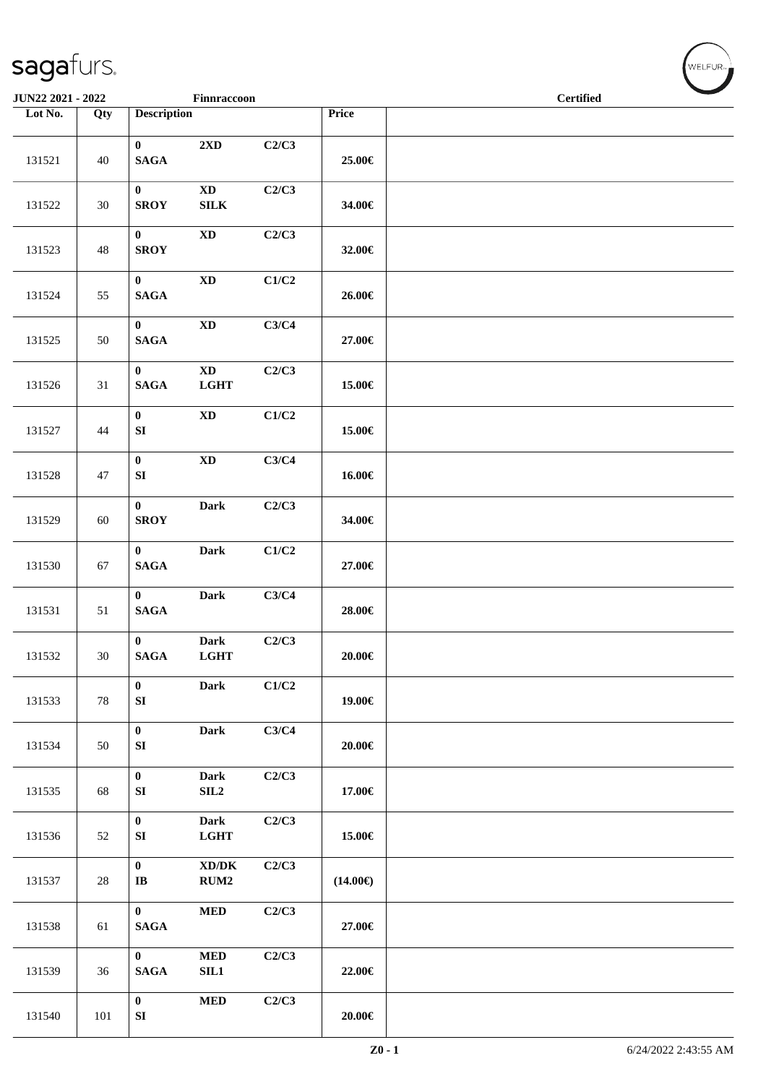| Finnraccoon<br>JUN22 2021 - 2022 |        |                                 |                                             |       | $\overline{\phantom{a}}$<br><b>Certified</b> |  |
|----------------------------------|--------|---------------------------------|---------------------------------------------|-------|----------------------------------------------|--|
| Lot No.                          | Qty    | <b>Description</b>              |                                             |       | Price                                        |  |
| 131521                           | 40     | $\mathbf{0}$<br>$\mathbf{SAGA}$ | 2XD                                         | C2/C3 | 25.00€                                       |  |
| 131522                           | 30     | $\bf{0}$<br><b>SROY</b>         | $\mathbf{X}\mathbf{D}$<br>${\bf SILK}$      | C2/C3 | 34.00€                                       |  |
| 131523                           | 48     | $\bf{0}$<br><b>SROY</b>         | <b>XD</b>                                   | C2/C3 | 32.00€                                       |  |
| 131524                           | 55     | $\bf{0}$<br>$\mathbf{SAGA}$     | $\mathbf{X}\mathbf{D}$                      | C1/C2 | 26.00€                                       |  |
| 131525                           | 50     | $\mathbf{0}$<br>$\mathbf{SAGA}$ | $\mathbf{X}\mathbf{D}$                      | C3/C4 | 27.00€                                       |  |
| 131526                           | 31     | $\mathbf{0}$<br>$\mathbf{SAGA}$ | $\mathbf{X}\mathbf{D}$<br><b>LGHT</b>       | C2/C3 | 15.00€                                       |  |
| 131527                           | 44     | $\bf{0}$<br>${\bf S}{\bf I}$    | $\mathbf{X}\mathbf{D}$                      | C1/C2 | 15.00€                                       |  |
| 131528                           | 47     | $\bf{0}$<br>${\bf S}{\bf I}$    | $\mathbf{X}\mathbf{D}$                      | C3/C4 | 16.00€                                       |  |
| 131529                           | 60     | $\bf{0}$<br><b>SROY</b>         | Dark                                        | C2/C3 | 34.00€                                       |  |
| 131530                           | 67     | $\bf{0}$<br>$\mathbf{SAGA}$     | Dark                                        | C1/C2 | 27.00€                                       |  |
| 131531                           | 51     | $\mathbf{0}$<br>$\mathbf{SAGA}$ | <b>Dark</b>                                 | C3/C4 | 28.00€                                       |  |
| 131532                           | 30     | $\bf{0}$<br>$\mathbf{SAGA}$     | <b>Dark</b><br><b>LGHT</b>                  | C2/C3 | $20.00\in$                                   |  |
| 131533                           | 78     | $\bf{0}$<br>${\bf SI}$          | <b>Dark</b>                                 | C1/C2 | 19.00€                                       |  |
| 131534                           | 50     | $\pmb{0}$<br>${\bf SI}$         | Dark                                        | C3/C4 | 20.00€                                       |  |
| 131535                           | 68     | $\boldsymbol{0}$<br>${\bf SI}$  | <b>Dark</b><br>SL2                          | C2/C3 | 17.00€                                       |  |
| 131536                           | 52     | $\boldsymbol{0}$<br>${\bf SI}$  | Dark<br><b>LGHT</b>                         | C2/C3 | 15.00€                                       |  |
| 131537                           | $28\,$ | $\pmb{0}$<br>$\bf I\bf B$       | $\bold{X}\bold{D}/\bold{D}\bold{K}$<br>RUM2 | C2/C3 | $(14.00\epsilon)$                            |  |
| 131538                           | 61     | $\bf{0}$<br>$\mathbf{SAGA}$     | $\bf MED$                                   | C2/C3 | 27.00€                                       |  |
| 131539                           | 36     | $\bf{0}$<br><b>SAGA</b>         | $\bf MED$<br>SL1                            | C2/C3 | 22.00€                                       |  |
| 131540                           | 101    | $\pmb{0}$<br>${\bf S}{\bf I}$   | $\bf MED$                                   | C2/C3 | $20.00\in$                                   |  |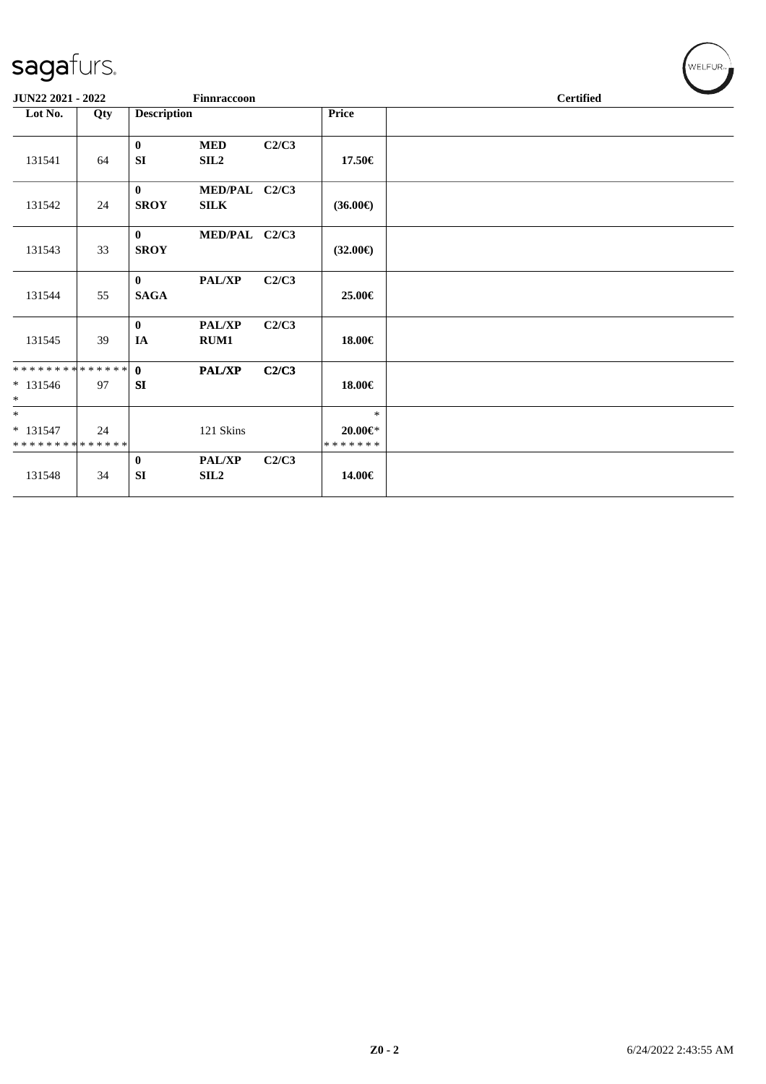| JUN22 2021 - 2022                      |     |                             | Finnraccoon                       |       |                                          | <b>Certified</b> |
|----------------------------------------|-----|-----------------------------|-----------------------------------|-------|------------------------------------------|------------------|
| Lot No.                                | Qty | <b>Description</b>          |                                   |       | Price                                    |                  |
| 131541                                 | 64  | $\mathbf{0}$<br>SI          | <b>MED</b><br>SIL <sub>2</sub>    | C2/C3 | 17.50€                                   |                  |
| 131542                                 | 24  | $\mathbf{0}$<br><b>SROY</b> | MED/PAL C2/C3<br><b>SILK</b>      |       | $(36.00\epsilon)$                        |                  |
| 131543                                 | 33  | $\mathbf{0}$<br><b>SROY</b> | MED/PAL C2/C3                     |       | $(32.00\epsilon)$                        |                  |
| 131544                                 | 55  | $\mathbf{0}$<br><b>SAGA</b> | <b>PAL/XP</b>                     | C2/C3 | 25.00€                                   |                  |
| 131545                                 | 39  | $\bf{0}$<br>IA              | <b>PAL/XP</b><br>RUM1             | C2/C3 | 18.00€                                   |                  |
| **************<br>$* 131546$<br>$\ast$ | 97  | $\mathbf{0}$<br>SI          | PAL/XP                            | C2/C3 | 18.00€                                   |                  |
| $\ast$<br>$* 131547$<br>************** | 24  |                             | 121 Skins                         |       | $\ast$<br>$20.00 \in$ *<br>* * * * * * * |                  |
| 131548                                 | 34  | $\bf{0}$<br><b>SI</b>       | <b>PAL/XP</b><br>SIL <sub>2</sub> | C2/C3 | 14.00€                                   |                  |

 $(\bigvee_{w \in \text{LFUR}_w})$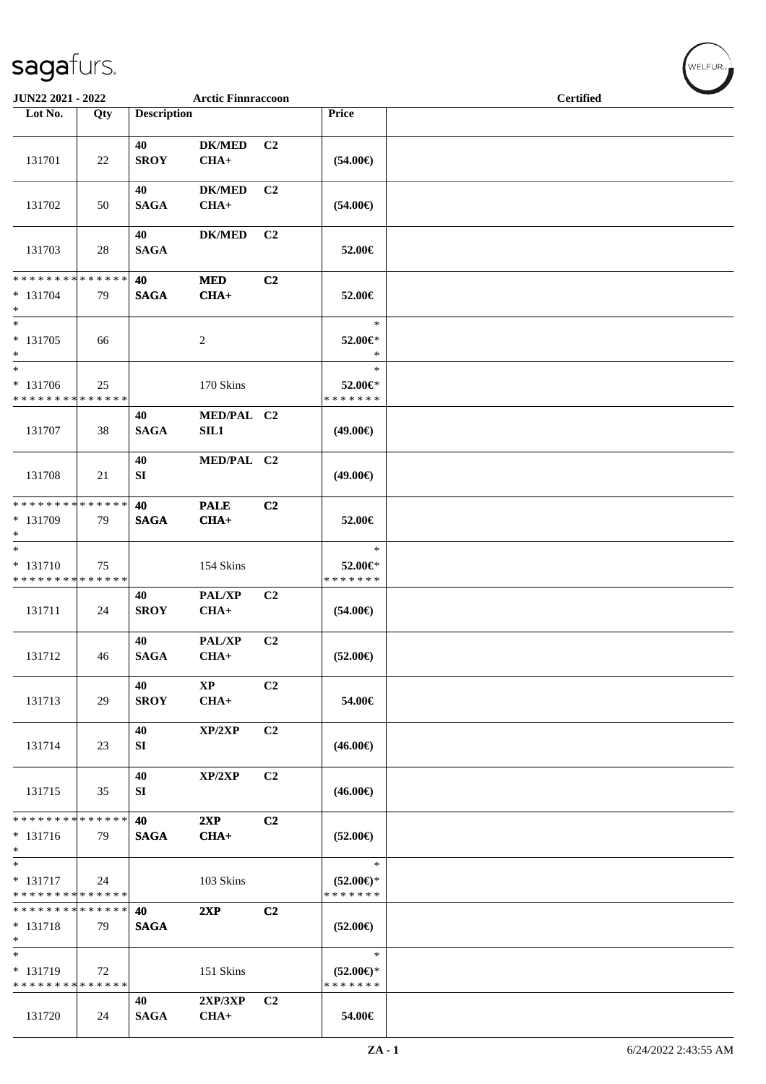| JUN22 2021 - 2022                                   |     |                    | <b>Arctic Finnraccoon</b> |                |                                                | <b>Certified</b> |  |  |  |
|-----------------------------------------------------|-----|--------------------|---------------------------|----------------|------------------------------------------------|------------------|--|--|--|
| Lot No.                                             | Qty | <b>Description</b> |                           |                | Price                                          |                  |  |  |  |
| 131701                                              | 22  | 40<br><b>SROY</b>  | <b>DK/MED</b><br>$CHA+$   | C <sub>2</sub> | $(54.00\epsilon)$                              |                  |  |  |  |
| 131702                                              | 50  | 40<br><b>SAGA</b>  | <b>DK/MED</b><br>$CHA+$   | C <sub>2</sub> | $(54.00\epsilon)$                              |                  |  |  |  |
| 131703                                              | 28  | 40<br><b>SAGA</b>  | <b>DK/MED</b>             | C <sub>2</sub> | 52.00€                                         |                  |  |  |  |
| * * * * * * * * * * * * * *<br>* 131704<br>$\ast$   | 79  | 40<br><b>SAGA</b>  | <b>MED</b><br>$CHA+$      | C2             | 52.00€                                         |                  |  |  |  |
| $\overline{\phantom{0}}$<br>* 131705<br>$\ast$      | 66  |                    | $\overline{2}$            |                | $\ast$<br>52.00€*<br>$\ast$                    |                  |  |  |  |
| $\ast$<br>* 131706<br>* * * * * * * * * * * * * *   | 25  |                    | 170 Skins                 |                | $\ast$<br>52.00€*<br>* * * * * * *             |                  |  |  |  |
| 131707                                              | 38  | 40<br><b>SAGA</b>  | MED/PAL C2<br>SL1         |                | $(49.00\epsilon)$                              |                  |  |  |  |
| 131708                                              | 21  | 40<br>SI           | MED/PAL C2                |                | $(49.00\epsilon)$                              |                  |  |  |  |
| ******** <mark>******</mark><br>* 131709<br>$\ast$  | 79  | 40<br><b>SAGA</b>  | <b>PALE</b><br>$CHA+$     | C2             | 52.00€                                         |                  |  |  |  |
| $\ast$<br>* 131710<br>* * * * * * * * * * * * * *   | 75  |                    | 154 Skins                 |                | $\ast$<br>52.00€*<br>* * * * * * *             |                  |  |  |  |
| 131711                                              | 24  | 40<br><b>SROY</b>  | PAL/XP<br>$CHA+$          | C2             | $(54.00\epsilon)$                              |                  |  |  |  |
| 131712                                              | 46  | 40<br><b>SAGA</b>  | PAL/XP<br>$CHA+$          | C <sub>2</sub> | $(52.00\in)$                                   |                  |  |  |  |
| 131713                                              | 29  | 40<br><b>SROY</b>  | $\bold{XP}$<br>$CHA+$     | C <sub>2</sub> | 54.00€                                         |                  |  |  |  |
| 131714                                              | 23  | 40<br>SI           | XP/2XP                    | C <sub>2</sub> | $(46.00\epsilon)$                              |                  |  |  |  |
| 131715                                              | 35  | 40<br>SI           | XP/2XP                    | C <sub>2</sub> | $(46.00\epsilon)$                              |                  |  |  |  |
| * * * * * * * * * * * * * *<br>$* 131716$<br>$\ast$ | 79  | 40<br><b>SAGA</b>  | 2XP<br>$CHA+$             | C2             | $(52.00\epsilon)$                              |                  |  |  |  |
| $\ast$<br>* 131717<br>* * * * * * * * * * * * * *   | 24  |                    | 103 Skins                 |                | $\ast$<br>$(52.00\epsilon)$ *<br>* * * * * * * |                  |  |  |  |
| * * * * * * * * * * * * * *<br>* 131718<br>$\ast$   | 79  | 40<br><b>SAGA</b>  | 2XP                       | C2             | $(52.00\epsilon)$                              |                  |  |  |  |
| $\ast$<br>* 131719<br>* * * * * * * * * * * * * *   | 72  |                    | 151 Skins                 |                | $\ast$<br>$(52.00\epsilon)$ *<br>* * * * * * * |                  |  |  |  |
| 131720                                              | 24  | 40<br><b>SAGA</b>  | 2XP/3XP<br>$CHA+$         | C <sub>2</sub> | 54.00€                                         |                  |  |  |  |

WELFUR<sub><sup>N</sup></sub>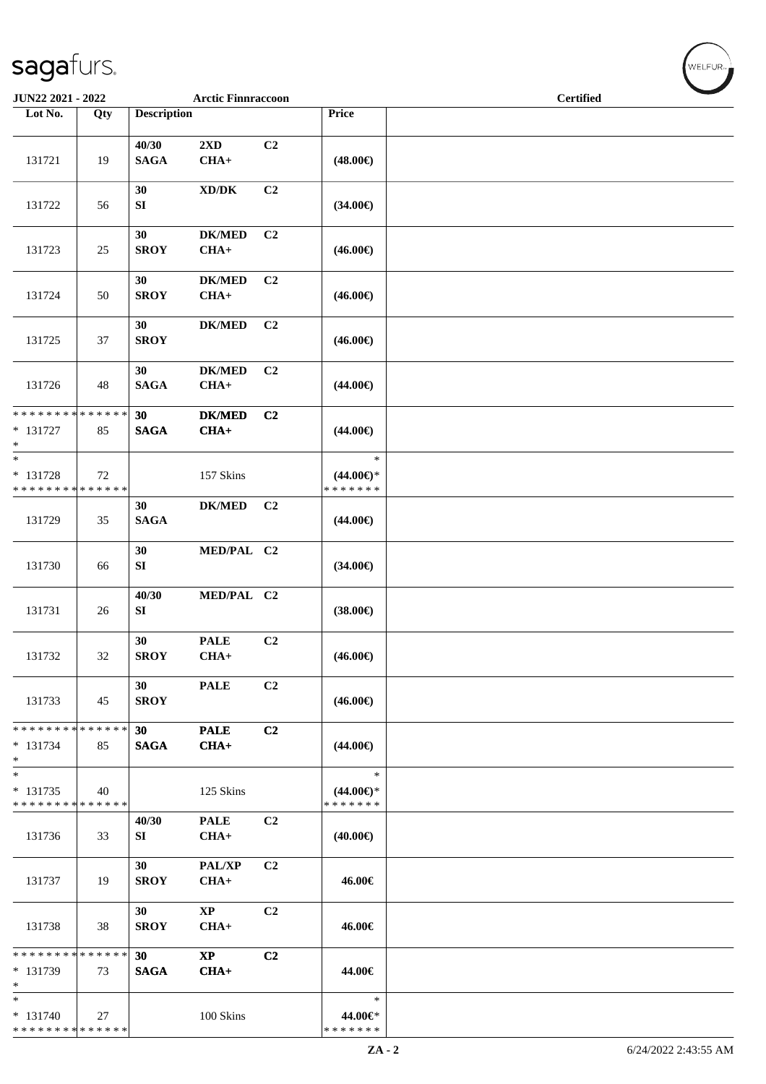| JUN22 2021 - 2022                                    |     |                      | <b>Arctic Finnraccoon</b>           |                |                                                      | <b>Certified</b> |  |
|------------------------------------------------------|-----|----------------------|-------------------------------------|----------------|------------------------------------------------------|------------------|--|
| Lot No.                                              | Qty | <b>Description</b>   |                                     |                | Price                                                |                  |  |
| 131721                                               | 19  | 40/30<br><b>SAGA</b> | 2XD<br>$CHA+$                       | C2             | $(48.00\epsilon)$                                    |                  |  |
| 131722                                               | 56  | 30<br>${\bf SI}$     | $\bold{X}\bold{D}/\bold{D}\bold{K}$ | C <sub>2</sub> | $(34.00\epsilon)$                                    |                  |  |
| 131723                                               | 25  | 30<br><b>SROY</b>    | $DK/MED$<br>$CHA+$                  | C2             | $(46.00\epsilon)$                                    |                  |  |
| 131724                                               | 50  | 30<br><b>SROY</b>    | <b>DK/MED</b><br>$CHA+$             | C <sub>2</sub> | $(46.00\epsilon)$                                    |                  |  |
| 131725                                               | 37  | 30<br><b>SROY</b>    | <b>DK/MED</b>                       | C2             | $(46.00\epsilon)$                                    |                  |  |
| 131726                                               | 48  | 30<br><b>SAGA</b>    | <b>DK/MED</b><br>$CHA+$             | C2             | $(44.00\epsilon)$                                    |                  |  |
| ******** <mark>******</mark><br>$* 131727$<br>$\ast$ | 85  | 30<br><b>SAGA</b>    | $DK/MED$<br>$CHA+$                  | C2             | $(44.00\epsilon)$                                    |                  |  |
| $\ast$<br>* 131728<br>* * * * * * * * * * * * * *    | 72  |                      | 157 Skins                           |                | $\ast$<br>$(44.00\epsilon)$ *<br>* * * * * * *       |                  |  |
| 131729                                               | 35  | 30<br><b>SAGA</b>    | $DK/MED$                            | C2             | $(44.00\epsilon)$                                    |                  |  |
| 131730                                               | 66  | 30<br>SI             | MED/PAL C2                          |                | $(34.00\epsilon)$                                    |                  |  |
| 131731                                               | 26  | 40/30<br>SI          | MED/PAL C2                          |                | $(38.00\epsilon)$                                    |                  |  |
| 131732                                               | 32  | 30<br><b>SROY</b>    | <b>PALE</b><br>$CHA+$               | C <sub>2</sub> | $(46.00\epsilon)$                                    |                  |  |
| 131733                                               | 45  | 30<br><b>SROY</b>    | <b>PALE</b>                         | C2             | $(46.00\epsilon)$                                    |                  |  |
| ******** <mark>******</mark><br>$* 131734$<br>$\ast$ | 85  | 30<br><b>SAGA</b>    | <b>PALE</b><br>$CHA+$               | C <sub>2</sub> | $(44.00\epsilon)$                                    |                  |  |
| $\ast$<br>$* 131735$<br>* * * * * * * * * * * * * *  | 40  |                      | 125 Skins                           |                | $\ast$<br>$(44.00 \in \mathcal{F})$<br>* * * * * * * |                  |  |
| 131736                                               | 33  | 40/30<br>SI          | <b>PALE</b><br>$CHA+$               | C2             | $(40.00\epsilon)$                                    |                  |  |
| 131737                                               | 19  | 30<br><b>SROY</b>    | PAL/XP<br>$CHA+$                    | C <sub>2</sub> | 46.00€                                               |                  |  |
| 131738                                               | 38  | 30<br><b>SROY</b>    | $\mathbf{X}\mathbf{P}$<br>$CHA+$    | C2             | 46.00€                                               |                  |  |
| * * * * * * * * * * * * * *<br>$* 131739$<br>$\ast$  | 73  | 30<br><b>SAGA</b>    | $\mathbf{X}\mathbf{P}$<br>$CHA+$    | C2             | 44.00€                                               |                  |  |
| $\ast$<br>$* 131740$<br>* * * * * * * * * * * * * *  | 27  |                      | 100 Skins                           |                | $\ast$<br>44.00€*<br>* * * * * * *                   |                  |  |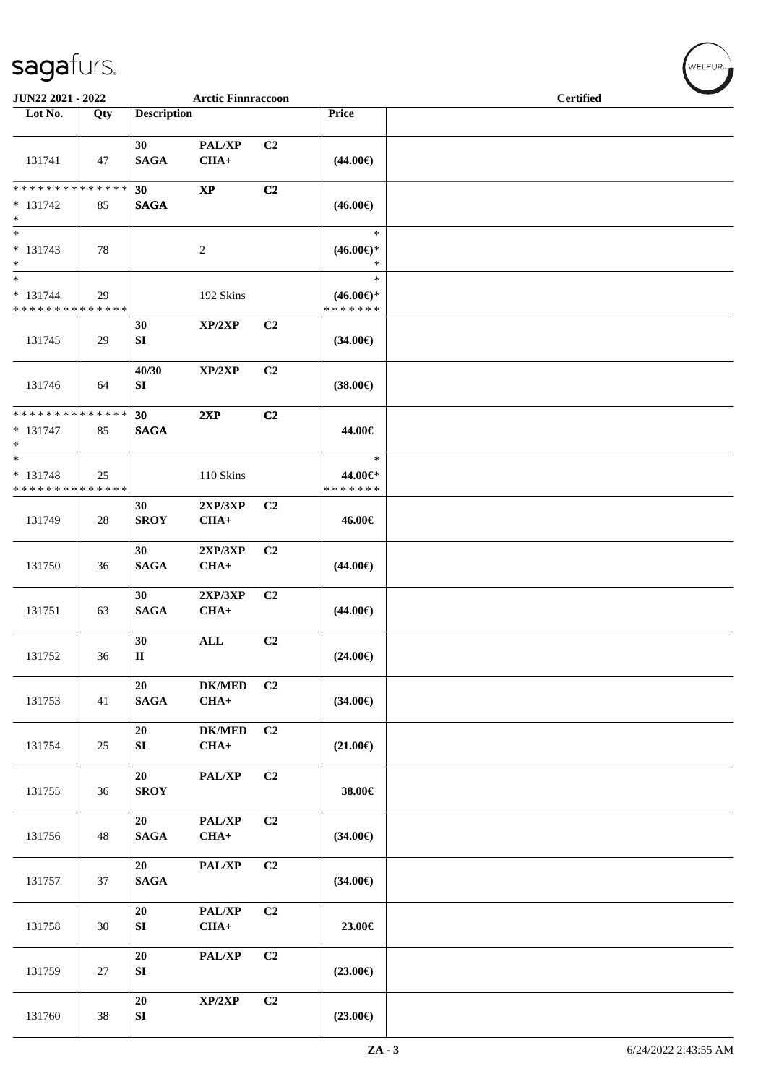| JUN22 2021 - 2022                                   |        |                    | <b>Arctic Finnraccoon</b> |                |                                                | <b>Certified</b> |  |
|-----------------------------------------------------|--------|--------------------|---------------------------|----------------|------------------------------------------------|------------------|--|
| Lot No.                                             | Qty    | <b>Description</b> |                           |                | Price                                          |                  |  |
| 131741                                              | 47     | 30<br><b>SAGA</b>  | PAL/XP<br>$CHA+$          | C2             | $(44.00\epsilon)$                              |                  |  |
| **************<br>$* 131742$<br>$\ast$              | 85     | 30<br><b>SAGA</b>  | $\bold{XP}$               | C2             | $(46.00\epsilon)$                              |                  |  |
| $\ast$<br>$* 131743$<br>$\ast$                      | 78     |                    | $\sqrt{2}$                |                | $\ast$<br>$(46.00\epsilon)$ *<br>$\ast$        |                  |  |
| $\ast$<br>* 131744<br>* * * * * * * * * * * * * *   | 29     |                    | 192 Skins                 |                | $\ast$<br>$(46.00\epsilon)$ *<br>* * * * * * * |                  |  |
| 131745                                              | 29     | 30<br>SI           | XP/2XP                    | C2             | $(34.00\epsilon)$                              |                  |  |
| 131746                                              | 64     | 40/30<br>SI        | XP/2XP                    | C <sub>2</sub> | $(38.00\epsilon)$                              |                  |  |
| * * * * * * * * * * * * * *<br>$* 131747$<br>$\ast$ | 85     | 30<br><b>SAGA</b>  | 2XP                       | C2             | 44.00€                                         |                  |  |
| $\ast$<br>$* 131748$<br>* * * * * * * * * * * * * * | 25     |                    | 110 Skins                 |                | $\ast$<br>44.00€*<br>* * * * * * *             |                  |  |
| 131749                                              | 28     | 30<br><b>SROY</b>  | 2XP/3XP<br>$CHA+$         | C <sub>2</sub> | 46.00€                                         |                  |  |
| 131750                                              | 36     | 30<br><b>SAGA</b>  | 2XP/3XP<br>$CHA+$         | C2             | $(44.00\epsilon)$                              |                  |  |
| 131751                                              | 63     | 30<br><b>SAGA</b>  | 2XP/3XP<br>$CHA+$         | C2             | $(44.00\epsilon)$                              |                  |  |
| 131752                                              | 36     | 30<br>$\mathbf{I}$ | $\mathbf{ALL}$            | C <sub>2</sub> | $(24.00\epsilon)$                              |                  |  |
| 131753                                              | 41     | 20<br><b>SAGA</b>  | <b>DK/MED</b><br>$CHA+$   | C2             | $(34.00\epsilon)$                              |                  |  |
| 131754                                              | $25\,$ | 20<br>SI           | <b>DK/MED</b><br>$CHA+$   | C2             | $(21.00\epsilon)$                              |                  |  |
| 131755                                              | 36     | 20<br><b>SROY</b>  | PAL/XP                    | C2             | 38.00€                                         |                  |  |
| 131756                                              | 48     | 20<br><b>SAGA</b>  | PAL/XP<br>$CHA+$          | C2             | $(34.00\epsilon)$                              |                  |  |
| 131757                                              | 37     | 20<br><b>SAGA</b>  | PAL/XP                    | C2             | $(34.00\epsilon)$                              |                  |  |
| 131758                                              | 30     | 20<br>${\bf SI}$   | PAL/XP<br>$CHA+$          | C2             | 23.00€                                         |                  |  |
| 131759                                              | $27\,$ | 20<br>SI           | PAL/XP                    | C2             | $(23.00\epsilon)$                              |                  |  |
| 131760                                              | 38     | 20<br>${\bf SI}$   | XP/2XP                    | C2             | $(23.00\epsilon)$                              |                  |  |

 $(w$ ELFUR<sub><sup>n</sub></sub></sub></sup>